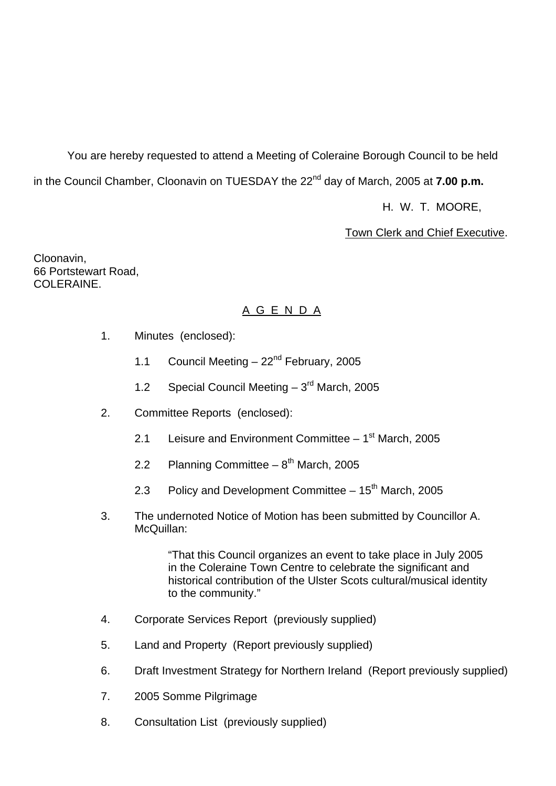You are hereby requested to attend a Meeting of Coleraine Borough Council to be held in the Council Chamber, Cloonavin on TUESDAY the 22<sup>nd</sup> day of March, 2005 at **7.00 p.m.** 

H. W. T. MOORE,

Town Clerk and Chief Executive.

Cloonavin, 66 Portstewart Road, COLERAINE.

## A G E N D A

- 1. Minutes (enclosed):
	- 1.1 Council Meeting  $-22<sup>nd</sup>$  February, 2005
	- 1.2 Special Council Meeting  $-3<sup>rd</sup>$  March, 2005
- 2. Committee Reports (enclosed):
	- 2.1 Leisure and Environment Committee  $-1<sup>st</sup>$  March, 2005
	- 2.2 Planning Committee  $8^{th}$  March, 2005
	- 2.3 Policy and Development Committee  $-15<sup>th</sup>$  March, 2005
- 3. The undernoted Notice of Motion has been submitted by Councillor A. McQuillan:

 "That this Council organizes an event to take place in July 2005 in the Coleraine Town Centre to celebrate the significant and historical contribution of the Ulster Scots cultural/musical identity to the community."

- 4. Corporate Services Report (previously supplied)
- 5. Land and Property (Report previously supplied)
- 6. Draft Investment Strategy for Northern Ireland (Report previously supplied)
- 7. 2005 Somme Pilgrimage
- 8. Consultation List (previously supplied)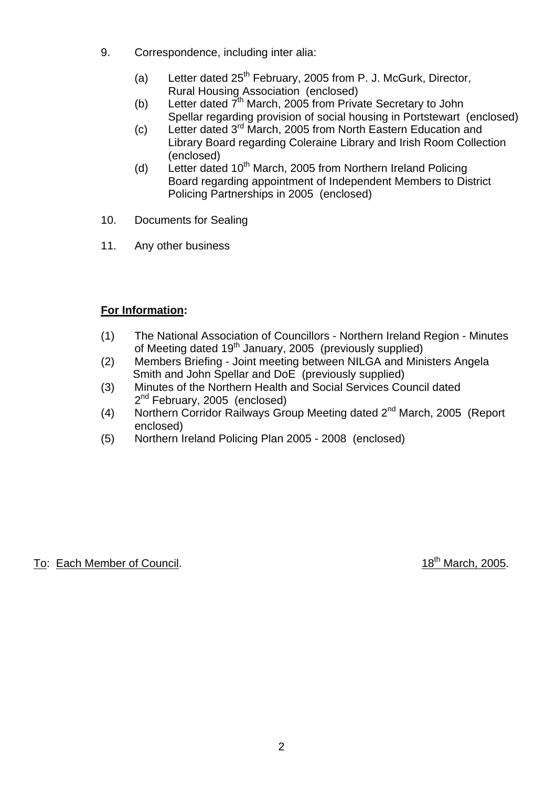- 9. Correspondence, including inter alia:
	- (a) Letter dated  $25<sup>th</sup>$  February, 2005 from P. J. McGurk, Director, Rural Housing Association (enclosed)
	- (b) Letter dated  $\vec{7}^{\text{th}}$  March, 2005 from Private Secretary to John Spellar regarding provision of social housing in Portstewart (enclosed)
	- (c) Letter dated 3rd March, 2005 from North Eastern Education and Library Board regarding Coleraine Library and Irish Room Collection (enclosed)
	- (d) Letter dated  $10^{th}$  March, 2005 from Northern Ireland Policing Board regarding appointment of Independent Members to District Policing Partnerships in 2005 (enclosed)
- 10. Documents for Sealing
- 11. Any other business

# **For Information:**

- (1) The National Association of Councillors Northern Ireland Region Minutes of Meeting dated 19<sup>th</sup> January, 2005 (previously supplied)
- (2) Members Briefing Joint meeting between NILGA and Ministers Angela Smith and John Spellar and DoE (previously supplied)
- (3) Minutes of the Northern Health and Social Services Council dated 2<sup>nd</sup> February, 2005 (enclosed)
- (4) Northern Corridor Railways Group Meeting dated 2<sup>nd</sup> March, 2005 (Report enclosed)
- (5) Northern Ireland Policing Plan 2005 2008 (enclosed)

# To: Each Member of Council. 18th March, 2005.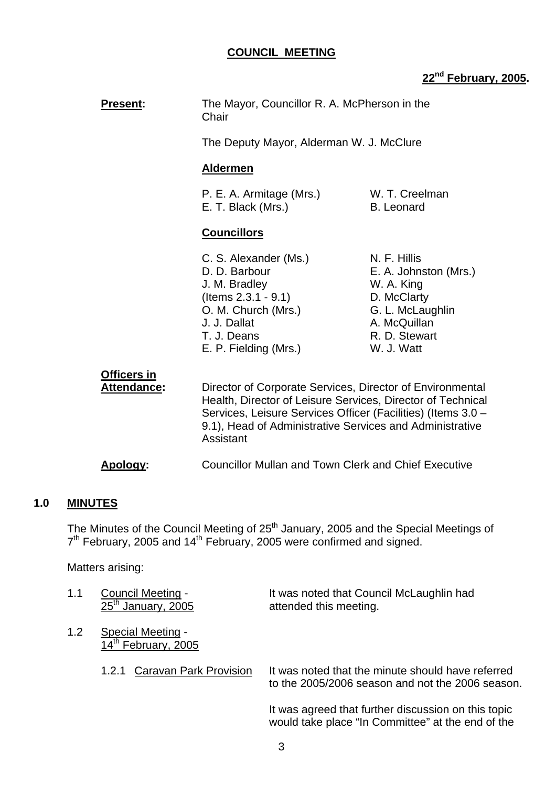## **COUNCIL MEETING**

# **22nd February, 2005.**

| <b>Present:</b>                          | The Mayor, Councillor R. A. McPherson in the<br>Chair                                                                                                                                                                                                             |                                                                                                                                       |
|------------------------------------------|-------------------------------------------------------------------------------------------------------------------------------------------------------------------------------------------------------------------------------------------------------------------|---------------------------------------------------------------------------------------------------------------------------------------|
|                                          | The Deputy Mayor, Alderman W. J. McClure                                                                                                                                                                                                                          |                                                                                                                                       |
|                                          | <b>Aldermen</b>                                                                                                                                                                                                                                                   |                                                                                                                                       |
|                                          | P. E. A. Armitage (Mrs.)<br>E. T. Black (Mrs.)                                                                                                                                                                                                                    | W. T. Creelman<br><b>B.</b> Leonard                                                                                                   |
|                                          | <b>Councillors</b>                                                                                                                                                                                                                                                |                                                                                                                                       |
|                                          | C. S. Alexander (Ms.)<br>D. D. Barbour<br>J. M. Bradley<br>$($ ltems $2.3.1 - 9.1)$<br>O. M. Church (Mrs.)<br>J. J. Dallat<br>T. J. Deans<br>E. P. Fielding (Mrs.)                                                                                                | N. F. Hillis<br>E. A. Johnston (Mrs.)<br>W. A. King<br>D. McClarty<br>G. L. McLaughlin<br>A. McQuillan<br>R. D. Stewart<br>W. J. Watt |
| <b>Officers in</b><br><b>Attendance:</b> | Director of Corporate Services, Director of Environmental<br>Health, Director of Leisure Services, Director of Technical<br>Services, Leisure Services Officer (Facilities) (Items 3.0 -<br>9.1), Head of Administrative Services and Administrative<br>Assistant |                                                                                                                                       |

 **Apology:** Councillor Mullan and Town Clerk and Chief Executive

## **1.0 MINUTES**

The Minutes of the Council Meeting of  $25<sup>th</sup>$  January, 2005 and the Special Meetings of  $7<sup>th</sup>$  February, 2005 and 14<sup>th</sup> February, 2005 were confirmed and signed.

Matters arising:

| 1.1           | Council Meeting -<br>$25th$ January, 2005                   | It was noted that Council McLaughlin had<br>attended this meeting.                                       |
|---------------|-------------------------------------------------------------|----------------------------------------------------------------------------------------------------------|
| $1.2^{\circ}$ | <b>Special Meeting -</b><br>14 <sup>th</sup> February, 2005 |                                                                                                          |
|               | <b>Caravan Park Provision</b><br>1.2.1                      | It was noted that the minute should have referred<br>to the 2005/2006 season and not the 2006 season.    |
|               |                                                             | It was agreed that further discussion on this topic<br>would take place "In Committee" at the end of the |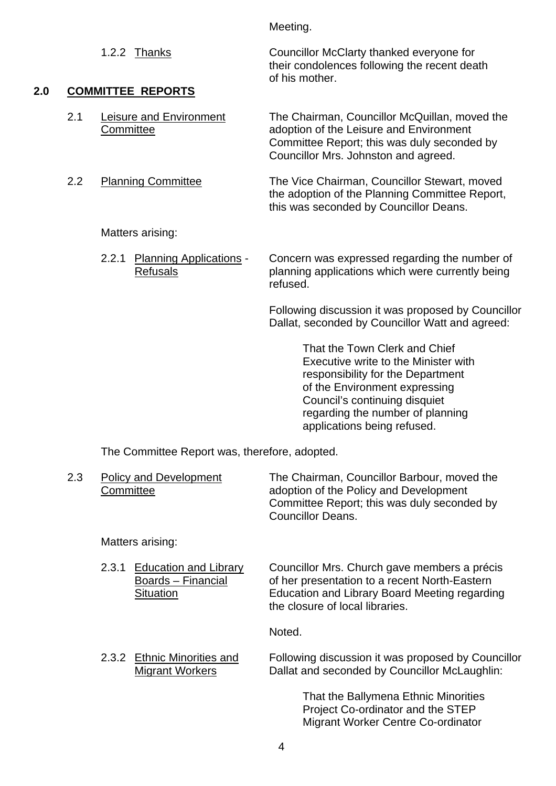|     |     |                                                            | Meeting.                                                                                                                                                                        |
|-----|-----|------------------------------------------------------------|---------------------------------------------------------------------------------------------------------------------------------------------------------------------------------|
|     |     | 1.2.2 Thanks                                               | Councillor McClarty thanked everyone for<br>their condolences following the recent death<br>of his mother.                                                                      |
| 2.0 |     | <b>COMMITTEE REPORTS</b>                                   |                                                                                                                                                                                 |
|     | 2.1 | <b>Leisure and Environment</b><br>Committee                | The Chairman, Councillor McQuillan, moved the<br>adoption of the Leisure and Environment<br>Committee Report; this was duly seconded by<br>Councillor Mrs. Johnston and agreed. |
|     | 2.2 | <b>Planning Committee</b>                                  | The Vice Chairman, Councillor Stewart, moved<br>the adoption of the Planning Committee Report,<br>this was seconded by Councillor Deans.                                        |
|     |     | Matters arising:                                           |                                                                                                                                                                                 |
|     |     | 2.2.1<br><b>Planning Applications -</b><br><b>Refusals</b> | Concern was expressed regarding the number of<br>planning applications which were currently being<br>refused.                                                                   |
|     |     |                                                            | Following discussion it was proposed by Councillor<br>Dallat, seconded by Councillor Watt and agreed:                                                                           |
|     |     |                                                            | That the Town Clerk and Chief<br>Executive write to the Minister with                                                                                                           |

 responsibility for the Department of the Environment expressing Council's continuing disquiet regarding the number of planning applications being refused.

The Committee Report was, therefore, adopted.

| 2.3 | Policy and Development<br>Committee | The Chairman, Councillor Barbour, moved the<br>adoption of the Policy and Development |
|-----|-------------------------------------|---------------------------------------------------------------------------------------|
|     |                                     | Committee Report; this was duly seconded by                                           |
|     |                                     | <b>Councillor Deans.</b>                                                              |

Matters arising:

2.3.1 Education and Library Councillor Mrs. Church gave members a précis Boards – Financial of her presentation to a recent North-Eastern Situation Education and Library Board Meeting regarding the closure of local libraries.

Noted.

2.3.2 Ethnic Minorities and Following discussion it was proposed by Councillor<br>Migrant Workers Dallat and seconded by Councillor McLaughlin: Dallat and seconded by Councillor McLaughlin:

> That the Ballymena Ethnic Minorities Project Co-ordinator and the STEP Migrant Worker Centre Co-ordinator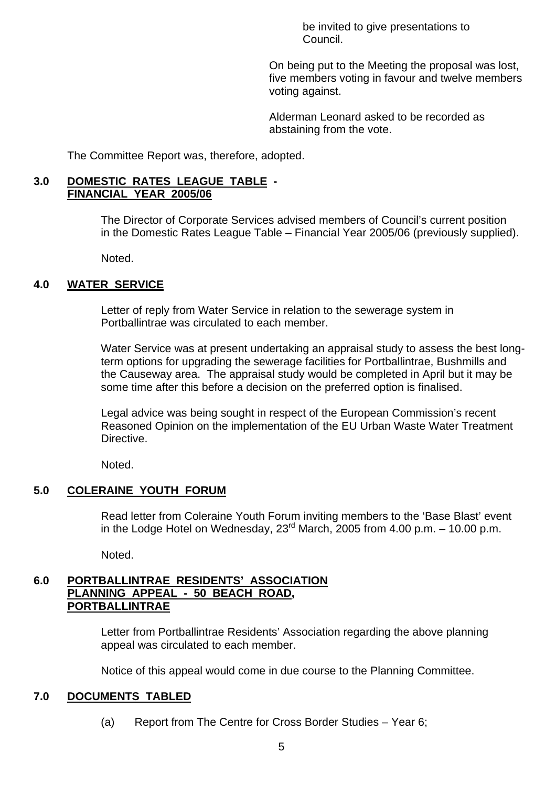be invited to give presentations to Council.

 On being put to the Meeting the proposal was lost, five members voting in favour and twelve members voting against.

 Alderman Leonard asked to be recorded as abstaining from the vote.

The Committee Report was, therefore, adopted.

#### **3.0 DOMESTIC RATES LEAGUE TABLE - FINANCIAL YEAR 2005/06**

 The Director of Corporate Services advised members of Council's current position in the Domestic Rates League Table – Financial Year 2005/06 (previously supplied).

Noted.

#### **4.0 WATER SERVICE**

 Letter of reply from Water Service in relation to the sewerage system in Portballintrae was circulated to each member.

 Water Service was at present undertaking an appraisal study to assess the best long term options for upgrading the sewerage facilities for Portballintrae, Bushmills and the Causeway area. The appraisal study would be completed in April but it may be some time after this before a decision on the preferred option is finalised.

 Legal advice was being sought in respect of the European Commission's recent Reasoned Opinion on the implementation of the EU Urban Waste Water Treatment Directive.

Noted.

#### **5.0 COLERAINE YOUTH FORUM**

 Read letter from Coleraine Youth Forum inviting members to the 'Base Blast' event in the Lodge Hotel on Wednesday,  $23^{\text{rd}}$  March, 2005 from 4.00 p.m. – 10.00 p.m.

Noted.

#### **6.0 PORTBALLINTRAE RESIDENTS' ASSOCIATION PLANNING APPEAL - 50 BEACH ROAD, PORTBALLINTRAE**

 Letter from Portballintrae Residents' Association regarding the above planning appeal was circulated to each member.

Notice of this appeal would come in due course to the Planning Committee.

#### **7.0 DOCUMENTS TABLED**

(a) Report from The Centre for Cross Border Studies – Year 6;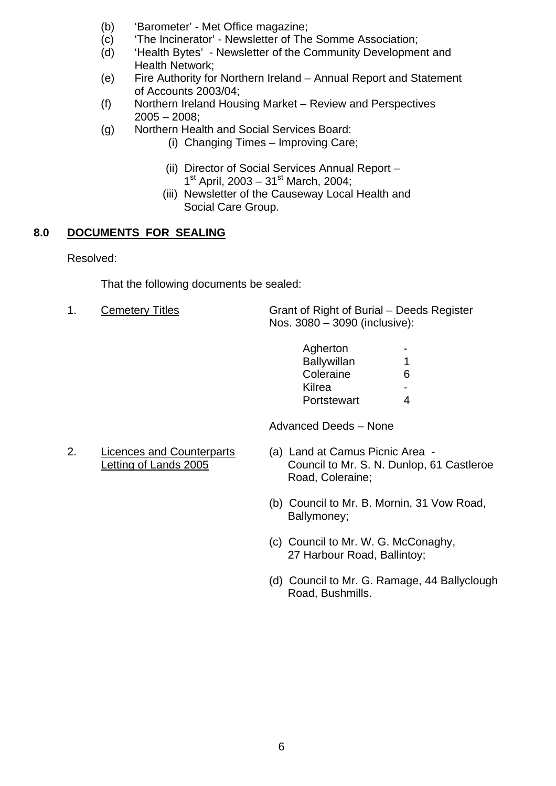- (b) 'Barometer' Met Office magazine;
- (c) 'The Incinerator' Newsletter of The Somme Association;
- (d) 'Health Bytes' Newsletter of the Community Development and Health Network;
- (e) Fire Authority for Northern Ireland Annual Report and Statement of Accounts 2003/04;
- (f) Northern Ireland Housing Market Review and Perspectives 2005 – 2008;
- (g) Northern Health and Social Services Board:
	- (i) Changing Times Improving Care;
	- (ii) Director of Social Services Annual Report  $1<sup>st</sup>$  April, 2003 – 31<sup>st</sup> March, 2004;
	- (iii) Newsletter of the Causeway Local Health and Social Care Group.

## **8.0 DOCUMENTS FOR SEALING**

Resolved:

That the following documents be sealed:

1. Cemetery Titles Grant of Right of Burial – Deeds Register Nos. 3080 – 3090 (inclusive):

| Agherton    | $\sim$ $\sim$ |
|-------------|---------------|
| Ballywillan | $\mathbf 1$   |
| Coleraine   | 6             |
| Kilrea      | $\sim$        |
| Portstewart | 4             |

Advanced Deeds – None

- 2. Licences and Counterparts (a) Land at Camus Picnic Area
	- Letting of Lands 2005 Council to Mr. S. N. Dunlop, 61 Castleroe Road, Coleraine;
		- (b) Council to Mr. B. Mornin, 31 Vow Road, Ballymoney;
		- (c) Council to Mr. W. G. McConaghy, 27 Harbour Road, Ballintoy;
		- (d) Council to Mr. G. Ramage, 44 Ballyclough Road, Bushmills.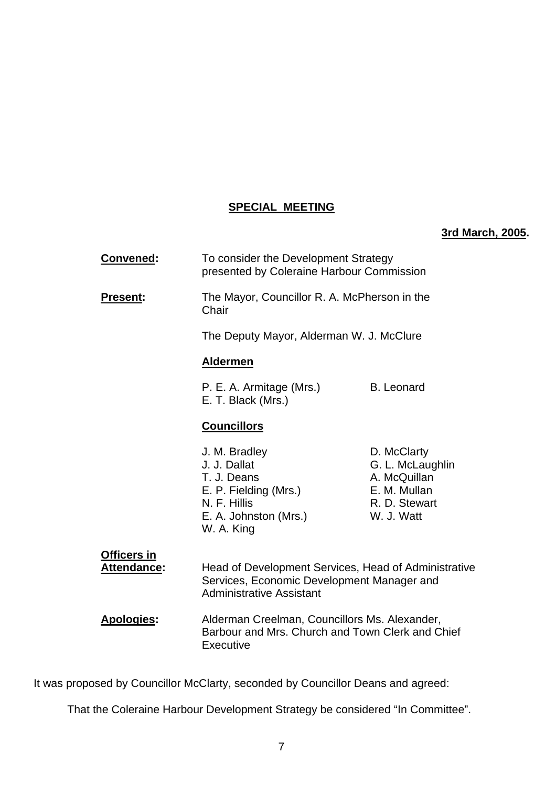## **SPECIAL MEETING**

## **3rd March, 2005.**

| <b>Convened:</b>                  | To consider the Development Strategy<br>presented by Coleraine Harbour Commission                                                     |                                                                                                |
|-----------------------------------|---------------------------------------------------------------------------------------------------------------------------------------|------------------------------------------------------------------------------------------------|
| <b>Present:</b>                   | The Mayor, Councillor R. A. McPherson in the<br>Chair                                                                                 |                                                                                                |
|                                   | The Deputy Mayor, Alderman W. J. McClure                                                                                              |                                                                                                |
|                                   | <b>Aldermen</b>                                                                                                                       |                                                                                                |
|                                   | P. E. A. Armitage (Mrs.)<br>E. T. Black (Mrs.)                                                                                        | <b>B.</b> Leonard                                                                              |
|                                   | <b>Councillors</b>                                                                                                                    |                                                                                                |
|                                   | J. M. Bradley<br>J. J. Dallat<br>T. J. Deans<br>E. P. Fielding (Mrs.)<br>N. F. Hillis<br>E. A. Johnston (Mrs.)<br>W. A. King          | D. McClarty<br>G. L. McLaughlin<br>A. McQuillan<br>E. M. Mullan<br>R. D. Stewart<br>W. J. Watt |
| Officers in<br><b>Attendance:</b> | Head of Development Services, Head of Administrative<br>Services, Economic Development Manager and<br><b>Administrative Assistant</b> |                                                                                                |
| <b>Apologies:</b>                 | Alderman Creelman, Councillors Ms. Alexander,<br>Barbour and Mrs. Church and Town Clerk and Chief                                     |                                                                                                |

It was proposed by Councillor McClarty, seconded by Councillor Deans and agreed:

Executive

That the Coleraine Harbour Development Strategy be considered "In Committee".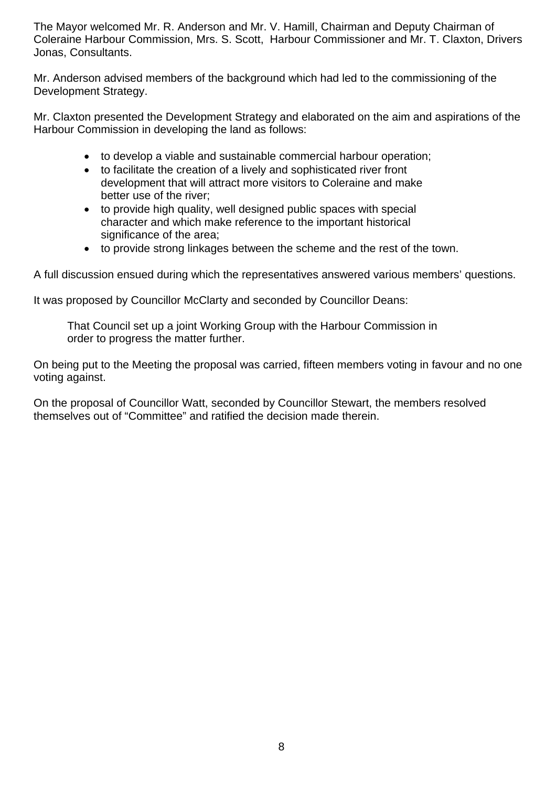The Mayor welcomed Mr. R. Anderson and Mr. V. Hamill, Chairman and Deputy Chairman of Coleraine Harbour Commission, Mrs. S. Scott, Harbour Commissioner and Mr. T. Claxton, Drivers Jonas, Consultants.

Mr. Anderson advised members of the background which had led to the commissioning of the Development Strategy.

Mr. Claxton presented the Development Strategy and elaborated on the aim and aspirations of the Harbour Commission in developing the land as follows:

- to develop a viable and sustainable commercial harbour operation;
- to facilitate the creation of a lively and sophisticated river front development that will attract more visitors to Coleraine and make better use of the river;
- to provide high quality, well designed public spaces with special character and which make reference to the important historical significance of the area;
- to provide strong linkages between the scheme and the rest of the town.

A full discussion ensued during which the representatives answered various members' questions.

It was proposed by Councillor McClarty and seconded by Councillor Deans:

 That Council set up a joint Working Group with the Harbour Commission in order to progress the matter further.

On being put to the Meeting the proposal was carried, fifteen members voting in favour and no one voting against.

On the proposal of Councillor Watt, seconded by Councillor Stewart, the members resolved themselves out of "Committee" and ratified the decision made therein.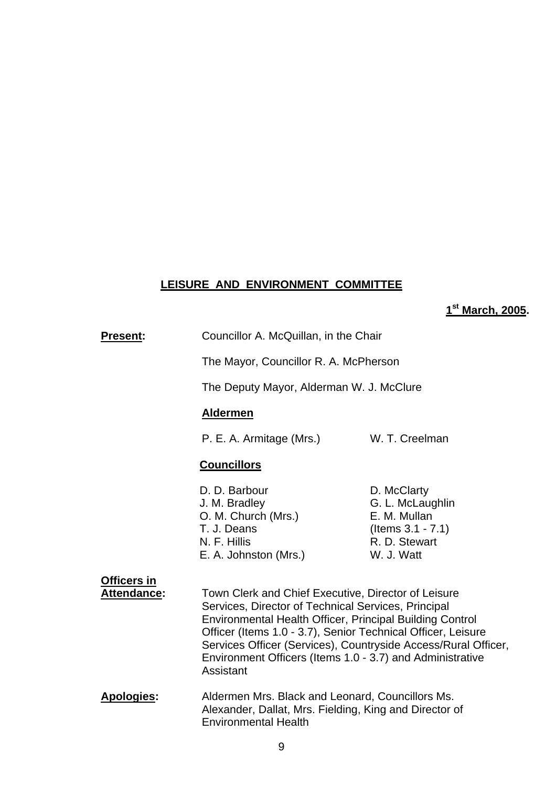## **LEISURE AND ENVIRONMENT COMMITTEE**

**1st March, 2005.** 

|                                   |                                                                                                                                                                                                                                                                                                                                                                                           | marcn, zu                                                                                              |
|-----------------------------------|-------------------------------------------------------------------------------------------------------------------------------------------------------------------------------------------------------------------------------------------------------------------------------------------------------------------------------------------------------------------------------------------|--------------------------------------------------------------------------------------------------------|
| Present:                          | Councillor A. McQuillan, in the Chair                                                                                                                                                                                                                                                                                                                                                     |                                                                                                        |
|                                   | The Mayor, Councillor R. A. McPherson                                                                                                                                                                                                                                                                                                                                                     |                                                                                                        |
|                                   | The Deputy Mayor, Alderman W. J. McClure                                                                                                                                                                                                                                                                                                                                                  |                                                                                                        |
|                                   | <b>Aldermen</b>                                                                                                                                                                                                                                                                                                                                                                           |                                                                                                        |
|                                   | P. E. A. Armitage (Mrs.)                                                                                                                                                                                                                                                                                                                                                                  | W. T. Creelman                                                                                         |
|                                   | <b>Councillors</b>                                                                                                                                                                                                                                                                                                                                                                        |                                                                                                        |
|                                   | D. D. Barbour<br>J. M. Bradley<br>O. M. Church (Mrs.)<br>T. J. Deans<br>N. F. Hillis<br>E. A. Johnston (Mrs.)                                                                                                                                                                                                                                                                             | D. McClarty<br>G. L. McLaughlin<br>E. M. Mullan<br>(Items $3.1 - 7.1$ )<br>R. D. Stewart<br>W. J. Watt |
| Officers in<br><b>Attendance:</b> | Town Clerk and Chief Executive, Director of Leisure<br>Services, Director of Technical Services, Principal<br><b>Environmental Health Officer, Principal Building Control</b><br>Officer (Items 1.0 - 3.7), Senior Technical Officer, Leisure<br>Services Officer (Services), Countryside Access/Rural Officer,<br>Environment Officers (Items 1.0 - 3.7) and Administrative<br>Assistant |                                                                                                        |
| <b>Apologies:</b>                 | Aldermen Mrs. Black and Leonard, Councillors Ms.<br>Alexander, Dallat, Mrs. Fielding, King and Director of<br><b>Environmental Health</b>                                                                                                                                                                                                                                                 |                                                                                                        |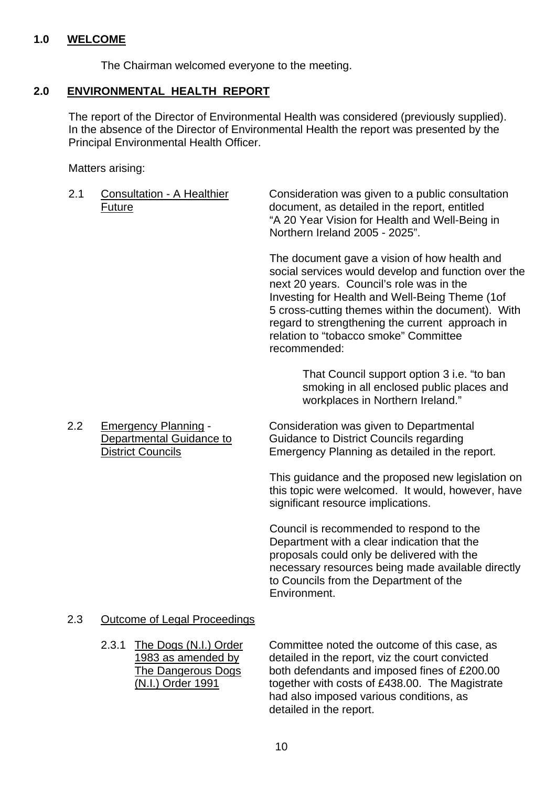### **1.0 WELCOME**

The Chairman welcomed everyone to the meeting.

## **2.0 ENVIRONMENTAL HEALTH REPORT**

The report of the Director of Environmental Health was considered (previously supplied). In the absence of the Director of Environmental Health the report was presented by the Principal Environmental Health Officer.

Matters arising:

2.1 Consultation - A Healthier Consideration was given to a public consultation Future document, as detailed in the report, entitled "A 20 Year Vision for Health and Well-Being in Northern Ireland 2005 - 2025".

> The document gave a vision of how health and social services would develop and function over the next 20 years. Council's role was in the Investing for Health and Well-Being Theme (1of 5 cross-cutting themes within the document). With regard to strengthening the current approach in relation to "tobacco smoke" Committee recommended:

> > That Council support option 3 i.e. "to ban smoking in all enclosed public places and workplaces in Northern Ireland."

 2.2 Emergency Planning - Consideration was given to Departmental Departmental Guidance to Guidance to District Councils regarding District Councils Emergency Planning as detailed in the report.

> This guidance and the proposed new legislation on this topic were welcomed. It would, however, have significant resource implications.

> Council is recommended to respond to the Department with a clear indication that the proposals could only be delivered with the necessary resources being made available directly to Councils from the Department of the Environment.

#### 2.3 Outcome of Legal Proceedings

 2.3.1 The Dogs (N.I.) Order Committee noted the outcome of this case, as 1983 as amended by detailed in the report, viz the court convicted The Dangerous Dogs both defendants and imposed fines of £200.00 (N.I.) Order 1991 together with costs of £438.00. The Magistrate had also imposed various conditions, as detailed in the report.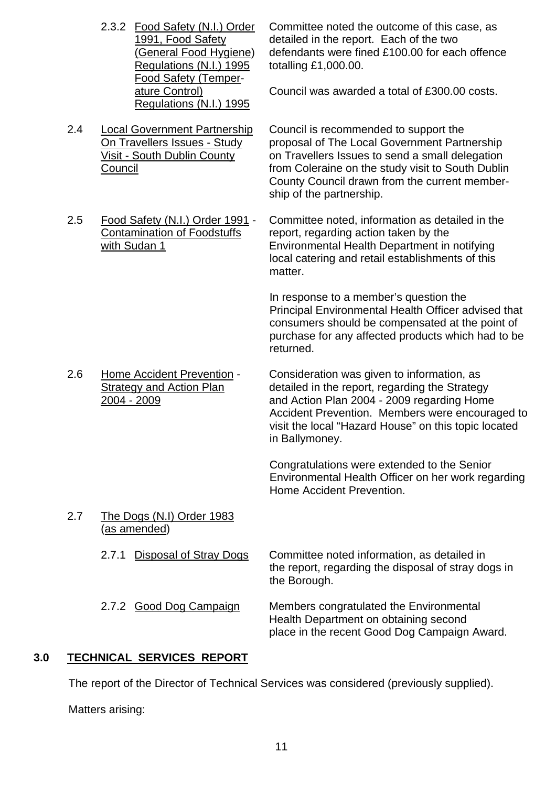Regulations (N.I.) 1995 totalling £1,000.00. Food Safety (Temper-Regulations (N.I.) 1995

2.4 Local Government Partnership Council is recommended to support the

- 
- 

2.3.2 Food Safety (N.I.) Order Committee noted the outcome of this case, as 1991, Food Safety detailed in the report. Each of the two (General Food Hygiene) defendants were fined £100.00 for each offence

ature Control) Council was awarded a total of £300.00 costs.

On Travellers Issues - Study proposal of The Local Government Partnership Visit - South Dublin County on Travellers Issues to send a small delegation Council **Council Council from Coleraine on the study visit to South Dublin** County Council drawn from the current membership of the partnership.

 2.5 Food Safety (N.I.) Order 1991 - Committee noted, information as detailed in the Contamination of Foodstuffs report, regarding action taken by the with Sudan 1 **Environmental Health Department in notifying** local catering and retail establishments of this matter.

> In response to a member's question the Principal Environmental Health Officer advised that consumers should be compensated at the point of purchase for any affected products which had to be returned.

 2.6 Home Accident Prevention - Consideration was given to information, as Strategy and Action Plan detailed in the report, regarding the Strategy 2004 - 2009 and Action Plan 2004 - 2009 regarding Home Accident Prevention. Members were encouraged to visit the local "Hazard House" on this topic located in Ballymoney.

> Congratulations were extended to the Senior Environmental Health Officer on her work regarding Home Accident Prevention.

 2.7 The Dogs (N.I) Order 1983 (as amended)

> 2.7.1 Disposal of Stray Dogs Committee noted information, as detailed in the report, regarding the disposal of stray dogs in the Borough.

 2.7.2 Good Dog Campaign Members congratulated the Environmental Health Department on obtaining second place in the recent Good Dog Campaign Award.

## **3.0 TECHNICAL SERVICES REPORT**

The report of the Director of Technical Services was considered (previously supplied).

Matters arising: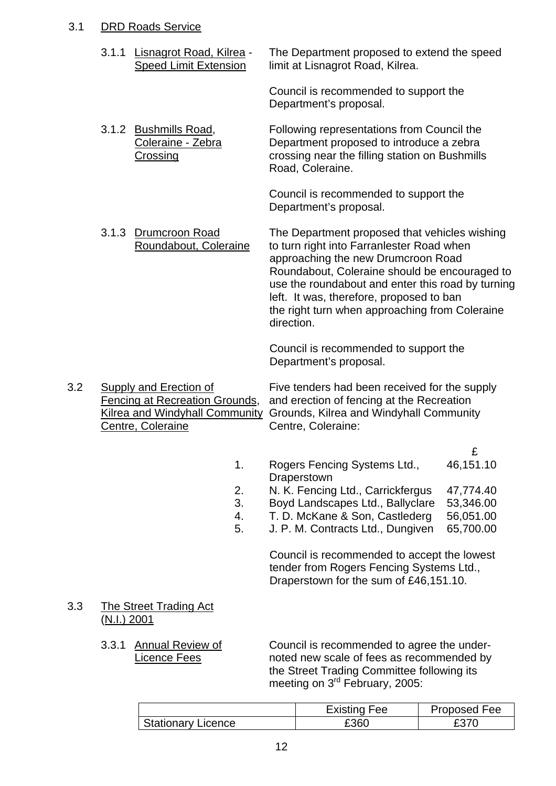## 3.1 DRD Roads Service

|     | 3.1.1       | Lisnagrot Road, Kilrea -<br><b>Speed Limit Extension</b>                                                                             |                            | The Department proposed to extend the speed<br>limit at Lisnagrot Road, Kilrea.                                                                                                                                                                                                                                                                    |                                                                    |
|-----|-------------|--------------------------------------------------------------------------------------------------------------------------------------|----------------------------|----------------------------------------------------------------------------------------------------------------------------------------------------------------------------------------------------------------------------------------------------------------------------------------------------------------------------------------------------|--------------------------------------------------------------------|
|     |             |                                                                                                                                      |                            | Council is recommended to support the<br>Department's proposal.                                                                                                                                                                                                                                                                                    |                                                                    |
|     |             | 3.1.2 Bushmills Road,<br>Coleraine - Zebra<br>Crossing                                                                               |                            | Following representations from Council the<br>Department proposed to introduce a zebra<br>crossing near the filling station on Bushmills<br>Road, Coleraine.                                                                                                                                                                                       |                                                                    |
|     |             |                                                                                                                                      |                            | Council is recommended to support the<br>Department's proposal.                                                                                                                                                                                                                                                                                    |                                                                    |
|     | 3.1.3       | Drumcroon Road<br>Roundabout, Coleraine                                                                                              |                            | The Department proposed that vehicles wishing<br>to turn right into Farranlester Road when<br>approaching the new Drumcroon Road<br>Roundabout, Coleraine should be encouraged to<br>use the roundabout and enter this road by turning<br>left. It was, therefore, proposed to ban<br>the right turn when approaching from Coleraine<br>direction. |                                                                    |
|     |             |                                                                                                                                      |                            | Council is recommended to support the<br>Department's proposal.                                                                                                                                                                                                                                                                                    |                                                                    |
| 3.2 |             | <b>Supply and Erection of</b><br><b>Fencing at Recreation Grounds,</b><br><b>Kilrea and Windyhall Community</b><br>Centre, Coleraine |                            | Five tenders had been received for the supply<br>and erection of fencing at the Recreation<br>Grounds, Kilrea and Windyhall Community<br>Centre, Coleraine:                                                                                                                                                                                        |                                                                    |
|     |             |                                                                                                                                      | 1.<br>2.<br>3.<br>4.<br>5. | Rogers Fencing Systems Ltd.,<br>Draperstown<br>N. K. Fencing Ltd., Carrickfergus<br>Boyd Landscapes Ltd., Ballyclare<br>T. D. McKane & Son, Castlederg<br>J. P. M. Contracts Ltd., Dungiven<br>Council is recommended to accept the lowest<br>tender from Rogers Fencing Systems Ltd.,<br>Draperstown for the sum of £46,151.10.                   | £<br>46,151.10<br>47,774.40<br>53,346.00<br>56,051.00<br>65,700.00 |
| 3.3 | (N.I.) 2001 | <b>The Street Trading Act</b>                                                                                                        |                            |                                                                                                                                                                                                                                                                                                                                                    |                                                                    |
|     | 3.3.1       | <b>Annual Review of</b><br>Licence Fees                                                                                              |                            | Council is recommended to agree the under-<br>noted new scale of fees as recommended by<br>the Street Trading Committee following its<br>meeting on 3 <sup>rd</sup> February, 2005:                                                                                                                                                                |                                                                    |

|                           | <b>Existing Fee</b> | Proposed Fee |
|---------------------------|---------------------|--------------|
| <b>Stationary Licence</b> | £360                |              |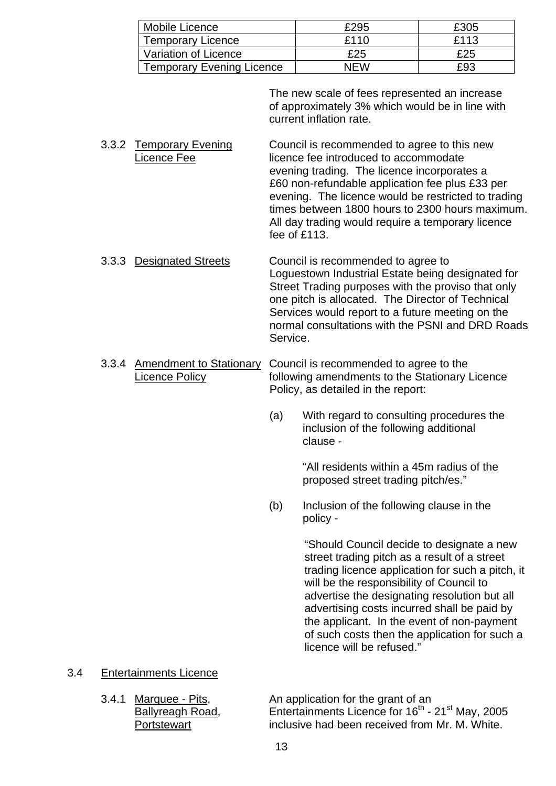| Mobile Licence                   | £295 | £305 |
|----------------------------------|------|------|
| <b>Temporary Licence</b>         | £110 | £113 |
| Variation of Licence             | £25  | £25  |
| <b>Temporary Evening Licence</b> | NFW  | £93  |

 The new scale of fees represented an increase of approximately 3% which would be in line with current inflation rate.

- 3.3.2 Temporary Evening Council is recommended to agree to this new Licence Fee licence fee introduced to accommodate evening trading. The licence incorporates a £60 non-refundable application fee plus £33 per evening. The licence would be restricted to trading times between 1800 hours to 2300 hours maximum. All day trading would require a temporary licence fee of £113.
- 3.3.3 Designated Streets Council is recommended to agree to Loguestown Industrial Estate being designated for Street Trading purposes with the proviso that only one pitch is allocated. The Director of Technical Services would report to a future meeting on the normal consultations with the PSNI and DRD Roads Service.
- 3.3.4 Amendment to Stationary Council is recommended to agree to the Licence Policy following amendments to the Stationary Licence Policy, as detailed in the report:
	- (a) With regard to consulting procedures the inclusion of the following additional clause -

"All residents within a 45m radius of the proposed street trading pitch/es."

 (b) Inclusion of the following clause in the policy -

> "Should Council decide to designate a new street trading pitch as a result of a street trading licence application for such a pitch, it will be the responsibility of Council to advertise the designating resolution but all advertising costs incurred shall be paid by the applicant. In the event of non-payment of such costs then the application for such a licence will be refused."

- 3.4 Entertainments Licence
	-

3.4.1 Marquee - Pits, An application for the grant of an Ballyreagh Road, Entertainments Licence for 16<sup>th</sup> - 21<sup>st</sup> May, 2005 Portstewart inclusive had been received from Mr. M. White.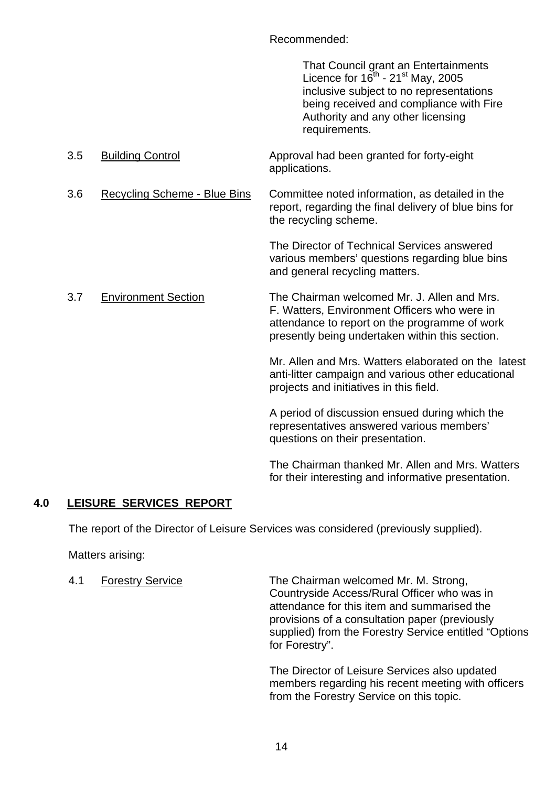Recommended:

 That Council grant an Entertainments Licence for  $16^{th}$  - 21<sup>st</sup> May, 2005 inclusive subject to no representations being received and compliance with Fire Authority and any other licensing requirements.

| 3.5 | <b>Building Control</b>             | Approval had been granted for forty-eight<br>applications.                                                                                                                                      |
|-----|-------------------------------------|-------------------------------------------------------------------------------------------------------------------------------------------------------------------------------------------------|
| 3.6 | <b>Recycling Scheme - Blue Bins</b> | Committee noted information, as detailed in the<br>report, regarding the final delivery of blue bins for<br>the recycling scheme.                                                               |
|     |                                     | The Director of Technical Services answered<br>various members' questions regarding blue bins<br>and general recycling matters.                                                                 |
| 3.7 | <b>Environment Section</b>          | The Chairman welcomed Mr. J. Allen and Mrs.<br>F. Watters, Environment Officers who were in<br>attendance to report on the programme of work<br>presently being undertaken within this section. |
|     |                                     | Mr. Allen and Mrs. Watters elaborated on the latest<br>anti-litter campaign and various other educational<br>projects and initiatives in this field.                                            |
|     |                                     | A period of discussion ensued during which the<br>representatives answered various members'<br>questions on their presentation.                                                                 |
|     |                                     | The Chairman thanked Mr. Allen and Mrs. Watters<br>for their interesting and informative presentation.                                                                                          |

## **4.0 LEISURE SERVICES REPORT**

The report of the Director of Leisure Services was considered (previously supplied).

Matters arising:

4.1 Forestry Service The Chairman welcomed Mr. M. Strong, Countryside Access/Rural Officer who was in attendance for this item and summarised the provisions of a consultation paper (previously supplied) from the Forestry Service entitled "Options for Forestry".

> The Director of Leisure Services also updated members regarding his recent meeting with officers from the Forestry Service on this topic.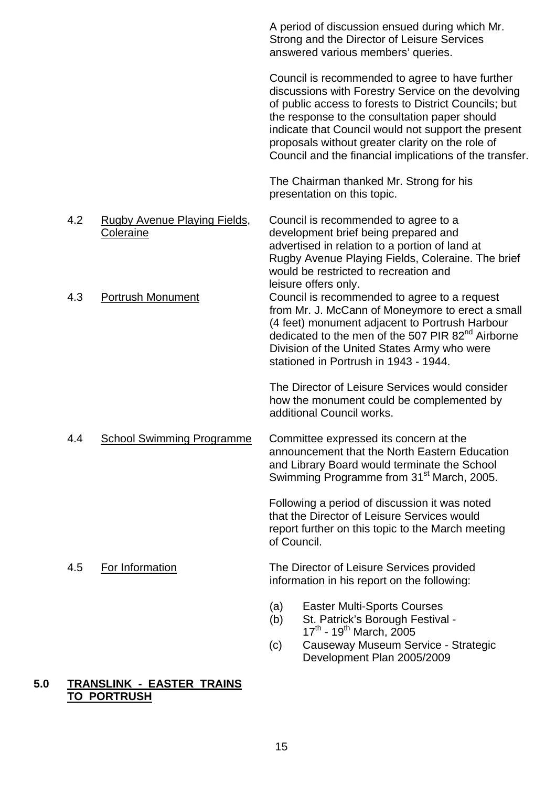|     |                                                  |                   | A period of discussion ensued during which Mr.<br>Strong and the Director of Leisure Services<br>answered various members' queries.                                                                                                                                                                                                                                                   |
|-----|--------------------------------------------------|-------------------|---------------------------------------------------------------------------------------------------------------------------------------------------------------------------------------------------------------------------------------------------------------------------------------------------------------------------------------------------------------------------------------|
|     |                                                  |                   | Council is recommended to agree to have further<br>discussions with Forestry Service on the devolving<br>of public access to forests to District Councils; but<br>the response to the consultation paper should<br>indicate that Council would not support the present<br>proposals without greater clarity on the role of<br>Council and the financial implications of the transfer. |
|     |                                                  |                   | The Chairman thanked Mr. Strong for his<br>presentation on this topic.                                                                                                                                                                                                                                                                                                                |
| 4.2 | <b>Rugby Avenue Playing Fields,</b><br>Coleraine |                   | Council is recommended to agree to a<br>development brief being prepared and<br>advertised in relation to a portion of land at<br>Rugby Avenue Playing Fields, Coleraine. The brief<br>would be restricted to recreation and<br>leisure offers only.                                                                                                                                  |
| 4.3 | <b>Portrush Monument</b>                         |                   | Council is recommended to agree to a request<br>from Mr. J. McCann of Moneymore to erect a small<br>(4 feet) monument adjacent to Portrush Harbour<br>dedicated to the men of the 507 PIR 82 <sup>nd</sup> Airborne<br>Division of the United States Army who were<br>stationed in Portrush in 1943 - 1944.                                                                           |
|     |                                                  |                   | The Director of Leisure Services would consider<br>how the monument could be complemented by<br>additional Council works.                                                                                                                                                                                                                                                             |
| 4.4 | <b>School Swimming Programme</b>                 |                   | Committee expressed its concern at the<br>announcement that the North Eastern Education<br>and Library Board would terminate the School<br>Swimming Programme from 31 <sup>st</sup> March, 2005.                                                                                                                                                                                      |
|     |                                                  | of Council.       | Following a period of discussion it was noted<br>that the Director of Leisure Services would<br>report further on this topic to the March meeting                                                                                                                                                                                                                                     |
| 4.5 | For Information                                  |                   | The Director of Leisure Services provided<br>information in his report on the following:                                                                                                                                                                                                                                                                                              |
|     |                                                  | (a)<br>(b)<br>(c) | <b>Easter Multi-Sports Courses</b><br>St. Patrick's Borough Festival -<br>$17^{th}$ - 19 <sup>th</sup> March, 2005<br>Causeway Museum Service - Strategic<br>Development Plan 2005/2009                                                                                                                                                                                               |

## **5.0 TRANSLINK - EASTER TRAINS TO PORTRUSH**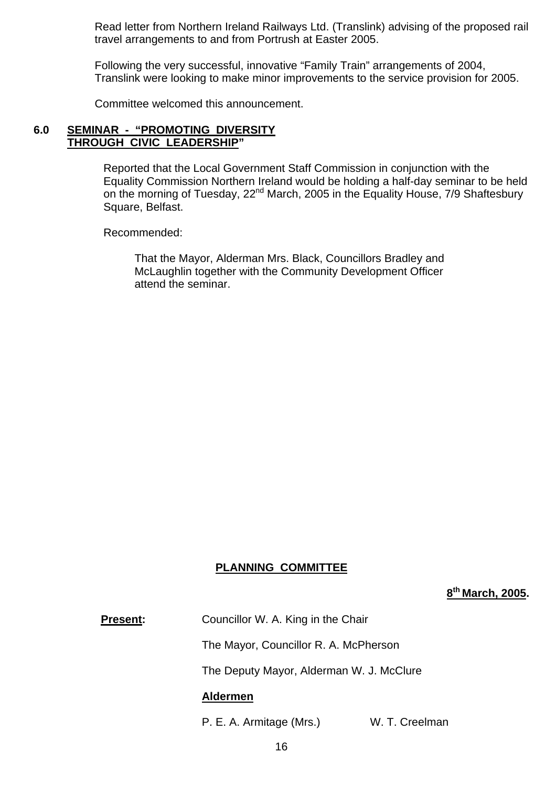Read letter from Northern Ireland Railways Ltd. (Translink) advising of the proposed rail travel arrangements to and from Portrush at Easter 2005.

Following the very successful, innovative "Family Train" arrangements of 2004, Translink were looking to make minor improvements to the service provision for 2005.

Committee welcomed this announcement.

#### **6.0 SEMINAR - "PROMOTING DIVERSITY THROUGH CIVIC LEADERSHIP"**

Reported that the Local Government Staff Commission in conjunction with the Equality Commission Northern Ireland would be holding a half-day seminar to be held on the morning of Tuesday, 22<sup>nd</sup> March, 2005 in the Equality House, 7/9 Shaftesbury Square, Belfast.

Recommended:

 That the Mayor, Alderman Mrs. Black, Councillors Bradley and McLaughlin together with the Community Development Officer attend the seminar.

#### **PLANNING COMMITTEE**

**8th March, 2005.** 

**Present:** Councillor W. A. King in the Chair

The Mayor, Councillor R. A. McPherson

The Deputy Mayor, Alderman W. J. McClure

#### **Aldermen**

P. E. A. Armitage (Mrs.) W. T. Creelman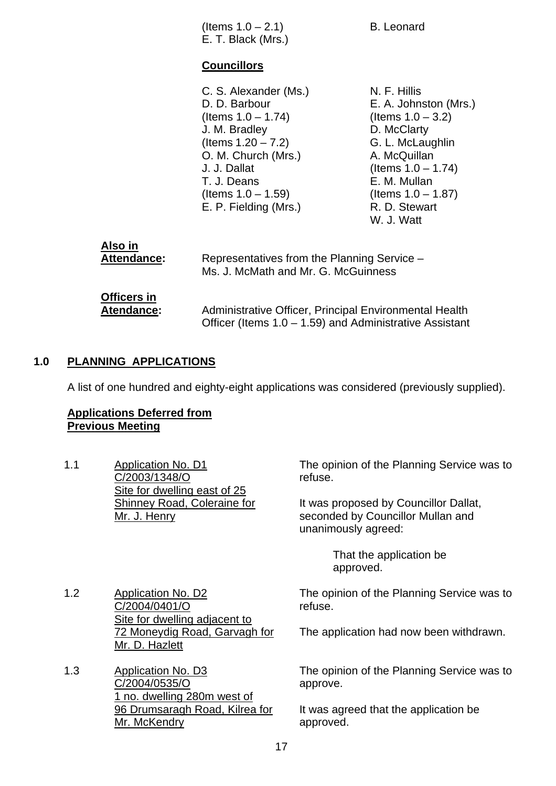|     | (Items $1.0 - 2.1$ )<br>E. T. Black (Mrs.)                                                                                                                                                                        | <b>B.</b> Leonard                                                                                                                                                                                                 |
|-----|-------------------------------------------------------------------------------------------------------------------------------------------------------------------------------------------------------------------|-------------------------------------------------------------------------------------------------------------------------------------------------------------------------------------------------------------------|
|     | <b>Councillors</b>                                                                                                                                                                                                |                                                                                                                                                                                                                   |
|     | C. S. Alexander (Ms.)<br>D. D. Barbour<br>(Items $1.0 - 1.74$ )<br>J. M. Bradley<br>(Items $1.20 - 7.2$ )<br>O. M. Church (Mrs.)<br>J. J. Dallat<br>T. J. Deans<br>(Items $1.0 - 1.59$ )<br>E. P. Fielding (Mrs.) | N. F. Hillis<br>E. A. Johnston (Mrs.)<br>(Items $1.0 - 3.2$ )<br>D. McClarty<br>G. L. McLaughlin<br>A. McQuillan<br>(Items $1.0 - 1.74$ )<br>E. M. Mullan<br>(Items $1.0 - 1.87$ )<br>R. D. Stewart<br>W. J. Watt |
| . . |                                                                                                                                                                                                                   |                                                                                                                                                                                                                   |

| Also in            | Representatives from the Planning Service -                |
|--------------------|------------------------------------------------------------|
| Attendance:        | Ms. J. McMath and Mr. G. McGuinness                        |
| <b>Officers in</b> | Administrative Officer, Principal Environmental Health     |
| Atendance:         | Officer (Items $1.0 - 1.59$ ) and Administrative Assistant |

#### **1.0 PLANNING APPLICATIONS**

A list of one hundred and eighty-eight applications was considered (previously supplied).

#### **Applications Deferred from Previous Meeting**

1.1 Application No. D1 C/2003/1348/O Site for dwelling east of 25 Shinney Road, Coleraine for Mr. J. Henry

The opinion of the Planning Service was to refuse.

It was proposed by Councillor Dallat, seconded by Councillor Mullan and unanimously agreed:

> That the application be approved.

The opinion of the Planning Service was to refuse.

The application had now been withdrawn.

The opinion of the Planning Service was to approve.

It was agreed that the application be approved.

- 1.2 Application No. D2 C/2004/0401/O Site for dwelling adjacent to 72 Moneydig Road, Garvagh for Mr. D. Hazlett
- 1.3 Application No. D3 C/2004/0535/O 1 no. dwelling 280m west of 96 Drumsaragh Road, Kilrea for Mr. McKendry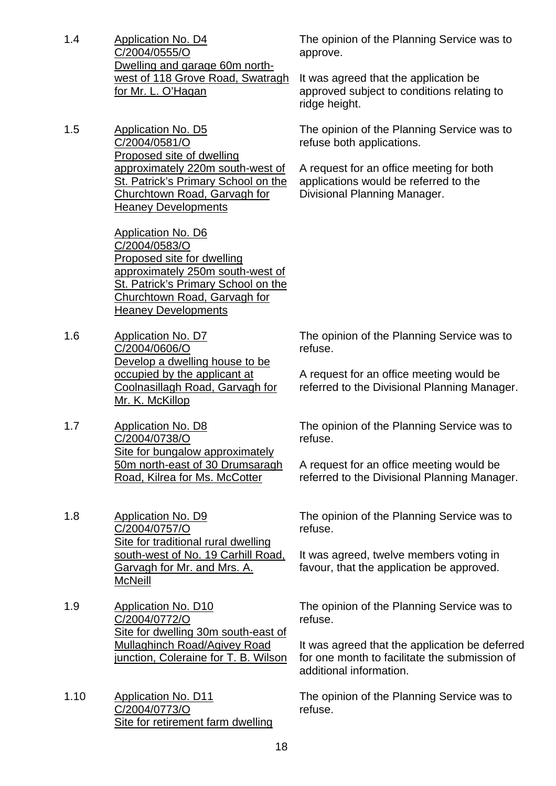1.4 Application No. D4 C/2004/0555/O Dwelling and garage 60m northwest of 118 Grove Road, Swatragh for Mr. L. O'Hagan

1.5 Application No. D5 C/2004/0581/O Proposed site of dwelling approximately 220m south-west of St. Patrick's Primary School on the Churchtown Road, Garvagh for Heaney Developments

> Application No. D6 C/2004/0583/O Proposed site for dwelling approximately 250m south-west of St. Patrick's Primary School on the Churchtown Road, Garvagh for Heaney Developments

- 1.6 Application No. D7 C/2004/0606/O Develop a dwelling house to be occupied by the applicant at Coolnasillagh Road, Garvagh for Mr. K. McKillop
- 1.7 Application No. D8 C/2004/0738/O Site for bungalow approximately 50m north-east of 30 Drumsaragh Road, Kilrea for Ms. McCotter

1.8 Application No. D9 C/2004/0757/O Site for traditional rural dwelling south-west of No. 19 Carhill Road, Garvagh for Mr. and Mrs. A. McNeill

1.9 Application No. D10 C/2004/0772/O Site for dwelling 30m south-east of Mullaghinch Road/Agivey Road junction, Coleraine for T. B. Wilson

1.10 Application No. D11 C/2004/0773/O Site for retirement farm dwelling The opinion of the Planning Service was to approve.

It was agreed that the application be approved subject to conditions relating to ridge height.

The opinion of the Planning Service was to refuse both applications.

A request for an office meeting for both applications would be referred to the Divisional Planning Manager.

The opinion of the Planning Service was to refuse.

A request for an office meeting would be referred to the Divisional Planning Manager.

The opinion of the Planning Service was to refuse.

A request for an office meeting would be referred to the Divisional Planning Manager.

The opinion of the Planning Service was to refuse.

It was agreed, twelve members voting in favour, that the application be approved.

The opinion of the Planning Service was to refuse.

It was agreed that the application be deferred for one month to facilitate the submission of additional information.

The opinion of the Planning Service was to refuse.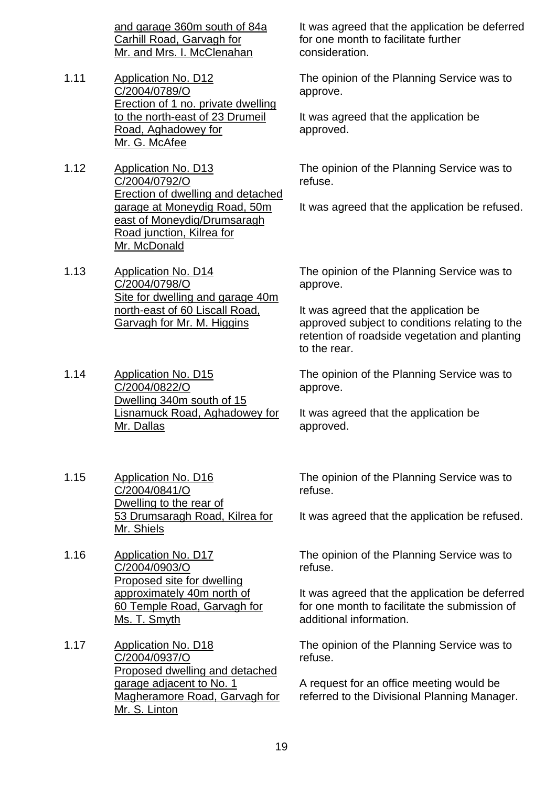and garage 360m south of 84a Carhill Road, Garvagh for Mr. and Mrs. I. McClenahan

- 1.11 Application No. D12 C/2004/0789/O Erection of 1 no. private dwelling to the north-east of 23 Drumeil Road, Aghadowey for Mr. G. McAfee
- 1.12 Application No. D13 C/2004/0792/O Erection of dwelling and detached garage at Moneydig Road, 50m east of Moneydig/Drumsaragh Road junction, Kilrea for Mr. McDonald
- 1.13 Application No. D14 C/2004/0798/O Site for dwelling and garage 40m north-east of 60 Liscall Road, Garvagh for Mr. M. Higgins
- 1.14 Application No. D15 C/2004/0822/O Dwelling 340m south of 15 Lisnamuck Road, Aghadowey for Mr. Dallas

1.15 Application No. D16 C/2004/0841/O Dwelling to the rear of 53 Drumsaragh Road, Kilrea for Mr. Shiels

- 1.16 Application No. D17 C/2004/0903/O Proposed site for dwelling approximately 40m north of 60 Temple Road, Garvagh for Ms. T. Smyth
- 1.17 Application No. D18 C/2004/0937/O Proposed dwelling and detached garage adjacent to No. 1 Magheramore Road, Garvagh for Mr. S. Linton

It was agreed that the application be deferred for one month to facilitate further consideration.

The opinion of the Planning Service was to approve.

It was agreed that the application be approved.

The opinion of the Planning Service was to refuse.

It was agreed that the application be refused.

The opinion of the Planning Service was to approve.

It was agreed that the application be approved subject to conditions relating to the retention of roadside vegetation and planting to the rear.

The opinion of the Planning Service was to approve.

It was agreed that the application be approved.

The opinion of the Planning Service was to refuse.

It was agreed that the application be refused.

The opinion of the Planning Service was to refuse.

It was agreed that the application be deferred for one month to facilitate the submission of additional information.

The opinion of the Planning Service was to refuse.

A request for an office meeting would be referred to the Divisional Planning Manager.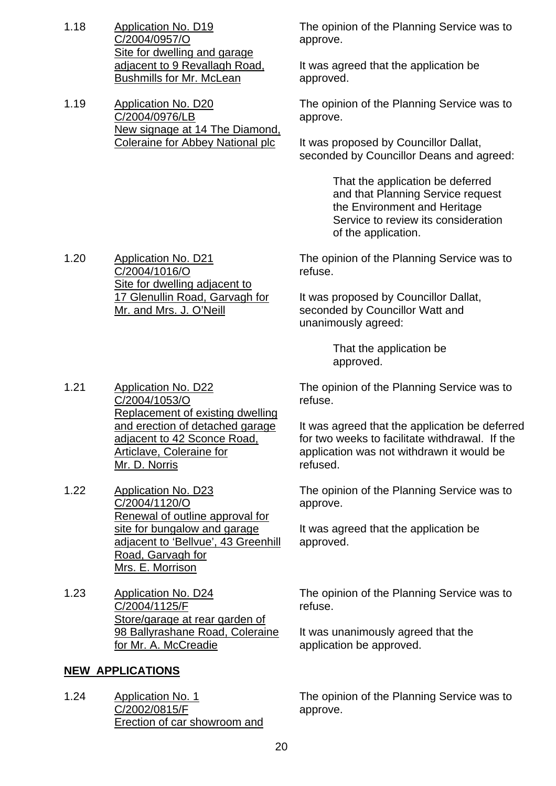- 1.18 Application No. D19 C/2004/0957/O Site for dwelling and garage adjacent to 9 Revallagh Road, Bushmills for Mr. McLean
- 1.19 Application No. D20 C/2004/0976/LB New signage at 14 The Diamond, Coleraine for Abbey National plc

The opinion of the Planning Service was to approve.

It was agreed that the application be approved.

The opinion of the Planning Service was to approve.

It was proposed by Councillor Dallat, seconded by Councillor Deans and agreed:

> That the application be deferred and that Planning Service request the Environment and Heritage Service to review its consideration of the application.

The opinion of the Planning Service was to refuse.

It was proposed by Councillor Dallat, seconded by Councillor Watt and unanimously agreed:

> That the application be approved.

The opinion of the Planning Service was to refuse.

It was agreed that the application be deferred for two weeks to facilitate withdrawal. If the application was not withdrawn it would be refused.

The opinion of the Planning Service was to approve.

It was agreed that the application be approved.

The opinion of the Planning Service was to refuse.

It was unanimously agreed that the application be approved.

The opinion of the Planning Service was to approve.

1.20 Application No. D21 C/2004/1016/O Site for dwelling adjacent to 17 Glenullin Road, Garvagh for Mr. and Mrs. J. O'Neill

1.21 Application No. D22 C/2004/1053/O Replacement of existing dwelling and erection of detached garage adjacent to 42 Sconce Road, Articlave, Coleraine for Mr. D. Norris

- 1.22 Application No. D23 C/2004/1120/O Renewal of outline approval for site for bungalow and garage adjacent to 'Bellvue', 43 Greenhill Road, Garvagh for Mrs. E. Morrison
- 1.23 Application No. D24 C/2004/1125/F Store/garage at rear garden of 98 Ballyrashane Road, Coleraine for Mr. A. McCreadie

## **NEW APPLICATIONS**

1.24 Application No. 1 C/2002/0815/F Erection of car showroom and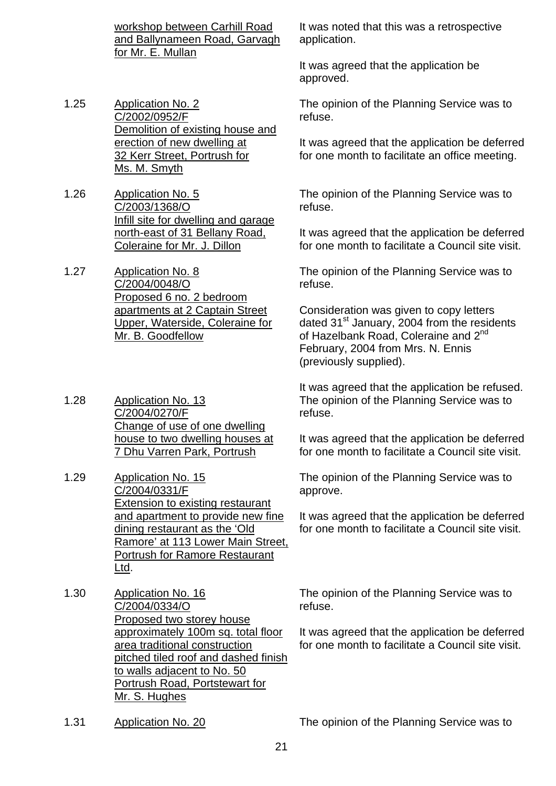workshop between Carhill Road and Ballynameen Road, Garvagh for Mr. E. Mullan

- 1.25 Application No. 2 C/2002/0952/F Demolition of existing house and erection of new dwelling at 32 Kerr Street, Portrush for Ms. M. Smyth
- 1.26 Application No. 5 C/2003/1368/O Infill site for dwelling and garage north-east of 31 Bellany Road, Coleraine for Mr. J. Dillon
- 1.27 Application No. 8 C/2004/0048/O Proposed 6 no. 2 bedroom apartments at 2 Captain Street Upper, Waterside, Coleraine for Mr. B. Goodfellow
- 1.28 Application No. 13 C/2004/0270/F Change of use of one dwelling house to two dwelling houses at 7 Dhu Varren Park, Portrush
- 1.29 Application No. 15 C/2004/0331/F Extension to existing restaurant and apartment to provide new fine dining restaurant as the 'Old Ramore' at 113 Lower Main Street, Portrush for Ramore Restaurant Ltd.
- 1.30 Application No. 16 C/2004/0334/O Proposed two storey house approximately 100m sq. total floor area traditional construction pitched tiled roof and dashed finish to walls adjacent to No. 50 Portrush Road, Portstewart for Mr. S. Hughes
- 

It was noted that this was a retrospective application.

It was agreed that the application be approved.

The opinion of the Planning Service was to refuse.

It was agreed that the application be deferred for one month to facilitate an office meeting.

The opinion of the Planning Service was to refuse.

It was agreed that the application be deferred for one month to facilitate a Council site visit.

The opinion of the Planning Service was to refuse.

Consideration was given to copy letters dated  $31<sup>st</sup>$  January, 2004 from the residents of Hazelbank Road, Coleraine and 2<sup>nd</sup> February, 2004 from Mrs. N. Ennis (previously supplied).

It was agreed that the application be refused. The opinion of the Planning Service was to refuse.

It was agreed that the application be deferred for one month to facilitate a Council site visit.

The opinion of the Planning Service was to approve.

It was agreed that the application be deferred for one month to facilitate a Council site visit.

The opinion of the Planning Service was to refuse.

It was agreed that the application be deferred for one month to facilitate a Council site visit.

1.31 Application No. 20 The opinion of the Planning Service was to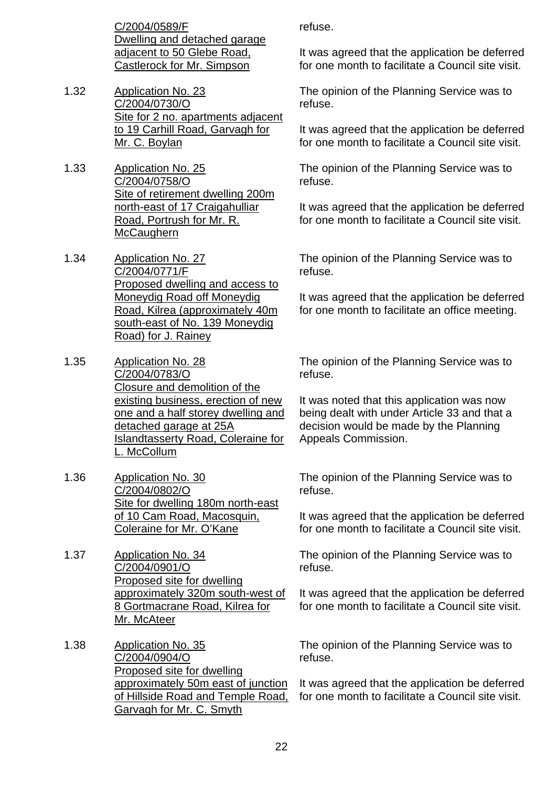C/2004/0589/F Dwelling and detached garage adjacent to 50 Glebe Road, Castlerock for Mr. Simpson

- 1.32 Application No. 23 C/2004/0730/O Site for 2 no. apartments adjacent to 19 Carhill Road, Garvagh for Mr. C. Boylan
- 1.33 Application No. 25 C/2004/0758/O Site of retirement dwelling 200m north-east of 17 Craigahulliar Road, Portrush for Mr. R. **McCaughern**
- 1.34 Application No. 27 C/2004/0771/F Proposed dwelling and access to Moneydig Road off Moneydig Road, Kilrea (approximately 40m south-east of No. 139 Moneydig Road) for J. Rainey
- 1.35 Application No. 28 C/2004/0783/O Closure and demolition of the existing business, erection of new one and a half storey dwelling and detached garage at 25A Islandtasserty Road, Coleraine for L. McCollum
- 1.36 Application No. 30 C/2004/0802/O Site for dwelling 180m north-east of 10 Cam Road, Macosquin, Coleraine for Mr. O'Kane
- 1.37 Application No. 34 C/2004/0901/O Proposed site for dwelling approximately 320m south-west of 8 Gortmacrane Road, Kilrea for Mr. McAteer
- 1.38 Application No. 35 C/2004/0904/O Proposed site for dwelling approximately 50m east of junction of Hillside Road and Temple Road, Garvagh for Mr. C. Smyth

refuse.

It was agreed that the application be deferred for one month to facilitate a Council site visit.

The opinion of the Planning Service was to refuse.

It was agreed that the application be deferred for one month to facilitate a Council site visit.

The opinion of the Planning Service was to refuse.

It was agreed that the application be deferred for one month to facilitate a Council site visit.

The opinion of the Planning Service was to refuse.

It was agreed that the application be deferred for one month to facilitate an office meeting.

The opinion of the Planning Service was to refuse.

It was noted that this application was now being dealt with under Article 33 and that a decision would be made by the Planning Appeals Commission.

The opinion of the Planning Service was to refuse.

It was agreed that the application be deferred for one month to facilitate a Council site visit.

The opinion of the Planning Service was to refuse.

It was agreed that the application be deferred for one month to facilitate a Council site visit.

The opinion of the Planning Service was to refuse.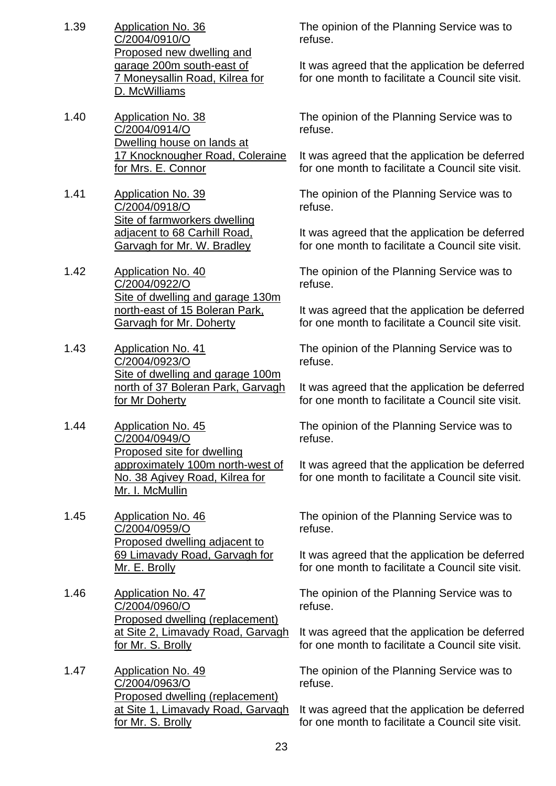- 1.39 Application No. 36 C/2004/0910/O Proposed new dwelling and garage 200m south-east of 7 Moneysallin Road, Kilrea for D. McWilliams
- 1.40 Application No. 38 C/2004/0914/O Dwelling house on lands at 17 Knocknougher Road, Coleraine for Mrs. E. Connor
- 1.41 Application No. 39 C/2004/0918/O Site of farmworkers dwelling adjacent to 68 Carhill Road, Garvagh for Mr. W. Bradley
- 1.42 Application No. 40 C/2004/0922/O Site of dwelling and garage 130m north-east of 15 Boleran Park, Garvagh for Mr. Doherty
- 1.43 Application No. 41 C/2004/0923/O Site of dwelling and garage 100m north of 37 Boleran Park, Garvagh for Mr Doherty
- 1.44 Application No. 45 C/2004/0949/O Proposed site for dwelling approximately 100m north-west of No. 38 Agivey Road, Kilrea for Mr. I. McMullin
- 1.45 Application No. 46 C/2004/0959/O Proposed dwelling adjacent to 69 Limavady Road, Garvagh for Mr. E. Brolly
- 1.46 Application No. 47 C/2004/0960/O Proposed dwelling (replacement) at Site 2, Limavady Road, Garvagh for Mr. S. Brolly
- 1.47 Application No. 49 C/2004/0963/O Proposed dwelling (replacement) at Site 1, Limavady Road, Garvagh for Mr. S. Brolly

The opinion of the Planning Service was to refuse.

It was agreed that the application be deferred for one month to facilitate a Council site visit.

The opinion of the Planning Service was to refuse.

It was agreed that the application be deferred for one month to facilitate a Council site visit.

The opinion of the Planning Service was to refuse.

It was agreed that the application be deferred for one month to facilitate a Council site visit.

The opinion of the Planning Service was to refuse.

It was agreed that the application be deferred for one month to facilitate a Council site visit.

The opinion of the Planning Service was to refuse.

It was agreed that the application be deferred for one month to facilitate a Council site visit.

The opinion of the Planning Service was to refuse.

It was agreed that the application be deferred for one month to facilitate a Council site visit.

The opinion of the Planning Service was to refuse.

It was agreed that the application be deferred for one month to facilitate a Council site visit.

The opinion of the Planning Service was to refuse.

It was agreed that the application be deferred for one month to facilitate a Council site visit.

The opinion of the Planning Service was to refuse.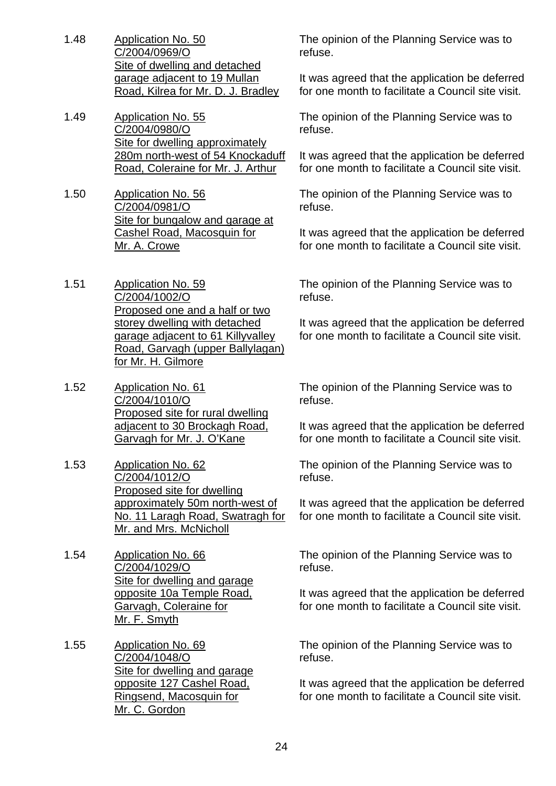- 1.48 Application No. 50 C/2004/0969/O Site of dwelling and detached garage adjacent to 19 Mullan Road, Kilrea for Mr. D. J. Bradley
- 1.49 Application No. 55 C/2004/0980/O Site for dwelling approximately 280m north-west of 54 Knockaduff Road, Coleraine for Mr. J. Arthur
- 1.50 Application No. 56 C/2004/0981/O Site for bungalow and garage at Cashel Road, Macosquin for Mr. A. Crowe
- 1.51 Application No. 59 C/2004/1002/O Proposed one and a half or two storey dwelling with detached garage adjacent to 61 Killyvalley Road, Garvagh (upper Ballylagan) for Mr. H. Gilmore
- 1.52 Application No. 61 C/2004/1010/O Proposed site for rural dwelling adjacent to 30 Brockagh Road, Garvagh for Mr. J. O'Kane
- 1.53 Application No. 62 C/2004/1012/O Proposed site for dwelling approximately 50m north-west of No. 11 Laragh Road, Swatragh for Mr. and Mrs. McNicholl
- 1.54 Application No. 66 C/2004/1029/O Site for dwelling and garage opposite 10a Temple Road, Garvagh, Coleraine for Mr. F. Smyth
- 1.55 Application No. 69 C/2004/1048/O Site for dwelling and garage opposite 127 Cashel Road, Ringsend, Macosquin for Mr. C. Gordon

The opinion of the Planning Service was to refuse.

It was agreed that the application be deferred for one month to facilitate a Council site visit.

The opinion of the Planning Service was to refuse.

It was agreed that the application be deferred for one month to facilitate a Council site visit.

The opinion of the Planning Service was to refuse.

It was agreed that the application be deferred for one month to facilitate a Council site visit.

The opinion of the Planning Service was to refuse.

It was agreed that the application be deferred for one month to facilitate a Council site visit.

The opinion of the Planning Service was to refuse.

It was agreed that the application be deferred for one month to facilitate a Council site visit.

The opinion of the Planning Service was to refuse.

It was agreed that the application be deferred for one month to facilitate a Council site visit.

The opinion of the Planning Service was to refuse.

It was agreed that the application be deferred for one month to facilitate a Council site visit.

The opinion of the Planning Service was to refuse.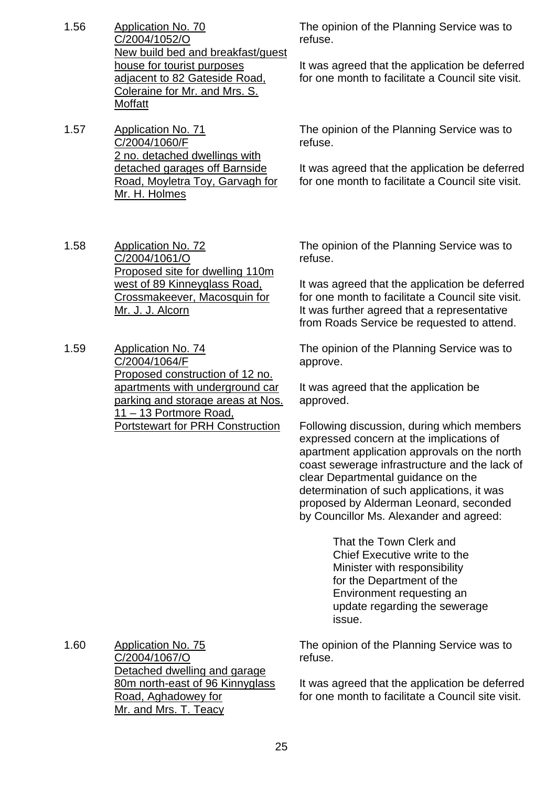- 1.56 Application No. 70 C/2004/1052/O New build bed and breakfast/guest house for tourist purposes adjacent to 82 Gateside Road, Coleraine for Mr. and Mrs. S. Moffatt
- 1.57 Application No. 71 C/2004/1060/F 2 no. detached dwellings with detached garages off Barnside Road, Moyletra Toy, Garvagh for Mr. H. Holmes

1.58 Application No. 72 C/2004/1061/O Proposed site for dwelling 110m west of 89 Kinneyglass Road, Crossmakeever, Macosquin for Mr. J. J. Alcorn

1.59 Application No. 74 C/2004/1064/F Proposed construction of 12 no. apartments with underground car parking and storage areas at Nos. 11 – 13 Portmore Road, Portstewart for PRH Construction

The opinion of the Planning Service was to refuse.

It was agreed that the application be deferred for one month to facilitate a Council site visit.

The opinion of the Planning Service was to refuse.

It was agreed that the application be deferred for one month to facilitate a Council site visit.

The opinion of the Planning Service was to refuse.

It was agreed that the application be deferred for one month to facilitate a Council site visit. It was further agreed that a representative from Roads Service be requested to attend.

The opinion of the Planning Service was to approve.

It was agreed that the application be approved.

Following discussion, during which members expressed concern at the implications of apartment application approvals on the north coast sewerage infrastructure and the lack of clear Departmental guidance on the determination of such applications, it was proposed by Alderman Leonard, seconded by Councillor Ms. Alexander and agreed:

> That the Town Clerk and Chief Executive write to the Minister with responsibility for the Department of the Environment requesting an update regarding the sewerage issue.

The opinion of the Planning Service was to refuse.

It was agreed that the application be deferred for one month to facilitate a Council site visit.

1.60 Application No. 75 C/2004/1067/O Detached dwelling and garage 80m north-east of 96 Kinnyglass Road, Aghadowey for Mr. and Mrs. T. Teacy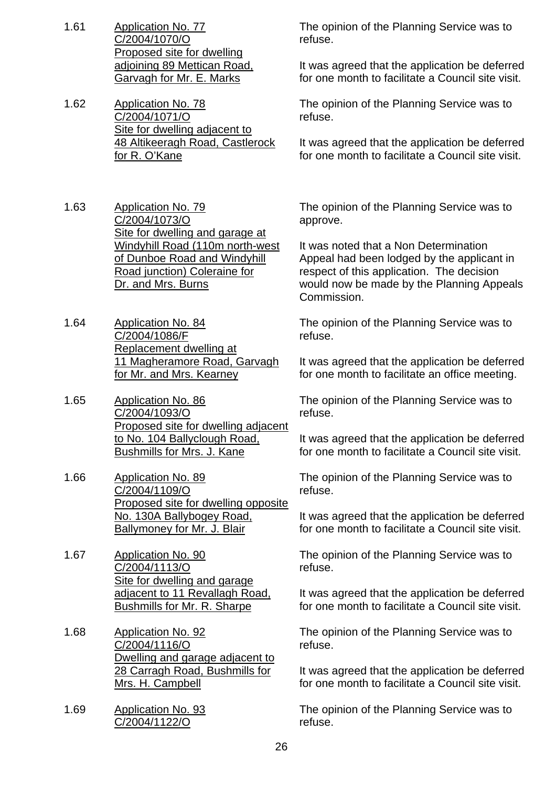- 1.61 Application No. 77 C/2004/1070/O Proposed site for dwelling adjoining 89 Mettican Road, Garvagh for Mr. E. Marks
- 1.62 Application No. 78 C/2004/1071/O Site for dwelling adjacent to 48 Altikeeragh Road, Castlerock for R. O'Kane
- 1.63 Application No. 79 C/2004/1073/O Site for dwelling and garage at Windyhill Road (110m north-west of Dunboe Road and Windyhill Road junction) Coleraine for Dr. and Mrs. Burns
- 1.64 Application No. 84 C/2004/1086/F Replacement dwelling at 11 Magheramore Road, Garvagh for Mr. and Mrs. Kearney
- 1.65 Application No. 86 C/2004/1093/O Proposed site for dwelling adjacent to No. 104 Ballyclough Road, Bushmills for Mrs. J. Kane
- 1.66 Application No. 89 C/2004/1109/O Proposed site for dwelling opposite No. 130A Ballybogey Road, Ballymoney for Mr. J. Blair
- 1.67 Application No. 90 C/2004/1113/O Site for dwelling and garage adiacent to 11 Revallagh Road, Bushmills for Mr. R. Sharpe
- 1.68 Application No. 92 C/2004/1116/O Dwelling and garage adjacent to 28 Carragh Road, Bushmills for Mrs. H. Campbell
- 1.69 Application No. 93 C/2004/1122/O

The opinion of the Planning Service was to refuse.

It was agreed that the application be deferred for one month to facilitate a Council site visit.

The opinion of the Planning Service was to refuse.

It was agreed that the application be deferred for one month to facilitate a Council site visit.

The opinion of the Planning Service was to approve.

It was noted that a Non Determination Appeal had been lodged by the applicant in respect of this application. The decision would now be made by the Planning Appeals Commission.

The opinion of the Planning Service was to refuse.

It was agreed that the application be deferred for one month to facilitate an office meeting.

The opinion of the Planning Service was to refuse.

It was agreed that the application be deferred for one month to facilitate a Council site visit.

The opinion of the Planning Service was to refuse.

It was agreed that the application be deferred for one month to facilitate a Council site visit.

The opinion of the Planning Service was to refuse.

It was agreed that the application be deferred for one month to facilitate a Council site visit.

The opinion of the Planning Service was to refuse.

It was agreed that the application be deferred for one month to facilitate a Council site visit.

The opinion of the Planning Service was to refuse.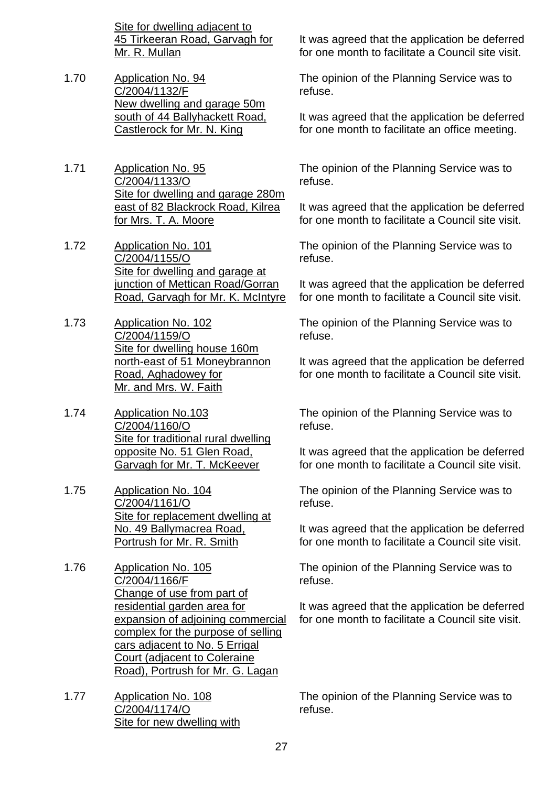Site for dwelling adjacent to 45 Tirkeeran Road, Garvagh for Mr. R. Mullan

- 1.70 Application No. 94 C/2004/1132/F New dwelling and garage 50m south of 44 Ballyhackett Road, Castlerock for Mr. N. King
- 1.71 Application No. 95 C/2004/1133/O Site for dwelling and garage 280m east of 82 Blackrock Road, Kilrea for Mrs. T. A. Moore
- 1.72 Application No. 101 C/2004/1155/O Site for dwelling and garage at junction of Mettican Road/Gorran Road, Garvagh for Mr. K. McIntyre
- 1.73 Application No. 102 C/2004/1159/O Site for dwelling house 160m north-east of 51 Moneybrannon Road, Aghadowey for Mr. and Mrs. W. Faith
- 1.74 Application No.103 C/2004/1160/O Site for traditional rural dwelling opposite No. 51 Glen Road, Garvagh for Mr. T. McKeever
- 1.75 Application No. 104 C/2004/1161/O Site for replacement dwelling at No. 49 Ballymacrea Road, Portrush for Mr. R. Smith
- 1.76 Application No. 105 C/2004/1166/F Change of use from part of residential garden area for expansion of adjoining commercial complex for the purpose of selling cars adjacent to No. 5 Errigal Court (adjacent to Coleraine Road), Portrush for Mr. G. Lagan
- 1.77 Application No. 108 C/2004/1174/O Site for new dwelling with

It was agreed that the application be deferred for one month to facilitate a Council site visit.

The opinion of the Planning Service was to refuse.

It was agreed that the application be deferred for one month to facilitate an office meeting.

The opinion of the Planning Service was to refuse.

It was agreed that the application be deferred for one month to facilitate a Council site visit.

The opinion of the Planning Service was to refuse.

It was agreed that the application be deferred for one month to facilitate a Council site visit.

The opinion of the Planning Service was to refuse.

It was agreed that the application be deferred for one month to facilitate a Council site visit.

The opinion of the Planning Service was to refuse.

It was agreed that the application be deferred for one month to facilitate a Council site visit.

The opinion of the Planning Service was to refuse.

It was agreed that the application be deferred for one month to facilitate a Council site visit.

The opinion of the Planning Service was to refuse.

It was agreed that the application be deferred for one month to facilitate a Council site visit.

The opinion of the Planning Service was to refuse.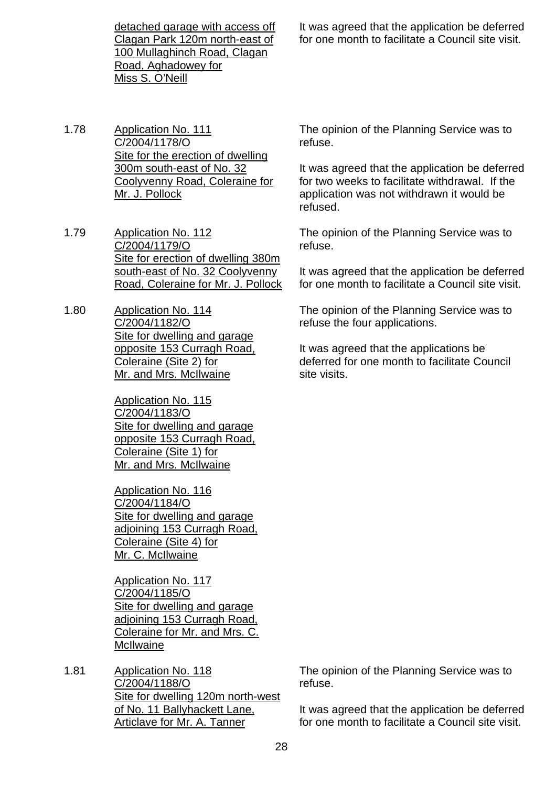detached garage with access off Clagan Park 120m north-east of 100 Mullaghinch Road, Clagan Road, Aghadowey for Miss S. O'Neill

- 1.78 Application No. 111 C/2004/1178/O Site for the erection of dwelling 300m south-east of No. 32 Coolyvenny Road, Coleraine for Mr. J. Pollock
- 1.79 Application No. 112 C/2004/1179/O Site for erection of dwelling 380m south-east of No. 32 Coolyvenny Road, Coleraine for Mr. J. Pollock
- 1.80 Application No. 114 C/2004/1182/O Site for dwelling and garage opposite 153 Curragh Road, Coleraine (Site 2) for Mr. and Mrs. McIlwaine

Application No. 115 C/2004/1183/O Site for dwelling and garage opposite 153 Curragh Road, Coleraine (Site 1) for Mr. and Mrs. McIlwaine

Application No. 116 C/2004/1184/O Site for dwelling and garage adjoining 153 Curragh Road, Coleraine (Site 4) for Mr. C. McIlwaine

Application No. 117 C/2004/1185/O Site for dwelling and garage adjoining 153 Curragh Road, Coleraine for Mr. and Mrs. C. **McIlwaine** 

1.81 Application No. 118 C/2004/1188/O Site for dwelling 120m north-west of No. 11 Ballyhackett Lane, Articlave for Mr. A. Tanner

It was agreed that the application be deferred for one month to facilitate a Council site visit.

The opinion of the Planning Service was to refuse.

It was agreed that the application be deferred for two weeks to facilitate withdrawal. If the application was not withdrawn it would be refused.

The opinion of the Planning Service was to refuse.

It was agreed that the application be deferred for one month to facilitate a Council site visit.

The opinion of the Planning Service was to refuse the four applications.

It was agreed that the applications be deferred for one month to facilitate Council site visits.

The opinion of the Planning Service was to refuse.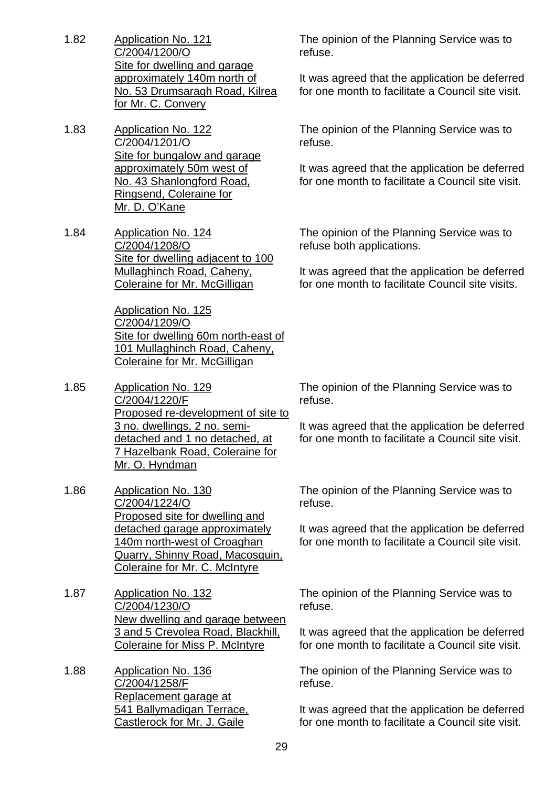- 1.82 Application No. 121 C/2004/1200/O Site for dwelling and garage approximately 140m north of No. 53 Drumsaragh Road, Kilrea for Mr. C. Convery
- 1.83 Application No. 122 C/2004/1201/O Site for bungalow and garage approximately 50m west of No. 43 Shanlongford Road, Ringsend, Coleraine for Mr. D. O'Kane
- 1.84 Application No. 124 C/2004/1208/O Site for dwelling adjacent to 100 Mullaghinch Road, Caheny, Coleraine for Mr. McGilligan

Application No. 125 C/2004/1209/O Site for dwelling 60m north-east of 101 Mullaghinch Road, Caheny, Coleraine for Mr. McGilligan

- 1.85 Application No. 129 C/2004/1220/F Proposed re-development of site to 3 no. dwellings, 2 no. semidetached and 1 no detached, at 7 Hazelbank Road, Coleraine for Mr. O. Hyndman
- 1.86 Application No. 130 C/2004/1224/O Proposed site for dwelling and detached garage approximately 140m north-west of Croaghan Quarry, Shinny Road, Macosquin, Coleraine for Mr. C. McIntyre
- 1.87 Application No. 132 C/2004/1230/O New dwelling and garage between 3 and 5 Crevolea Road, Blackhill, Coleraine for Miss P. McIntyre
- 1.88 Application No. 136 C/2004/1258/F Replacement garage at 541 Ballymadigan Terrace, Castlerock for Mr. J. Gaile

The opinion of the Planning Service was to refuse.

It was agreed that the application be deferred for one month to facilitate a Council site visit.

The opinion of the Planning Service was to refuse.

It was agreed that the application be deferred for one month to facilitate a Council site visit.

The opinion of the Planning Service was to refuse both applications.

It was agreed that the application be deferred for one month to facilitate Council site visits.

The opinion of the Planning Service was to refuse.

It was agreed that the application be deferred for one month to facilitate a Council site visit.

The opinion of the Planning Service was to refuse.

It was agreed that the application be deferred for one month to facilitate a Council site visit.

The opinion of the Planning Service was to refuse.

It was agreed that the application be deferred for one month to facilitate a Council site visit.

The opinion of the Planning Service was to refuse.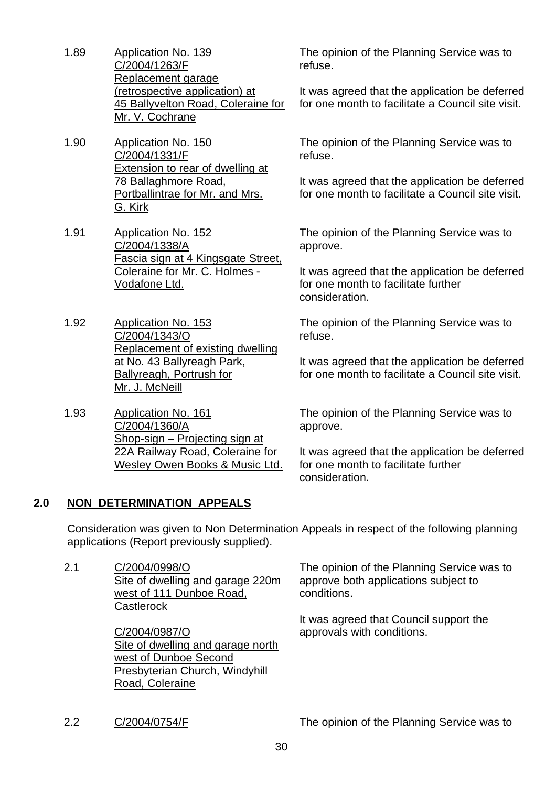- 1.89 Application No. 139 C/2004/1263/F Replacement garage (retrospective application) at 45 Ballyvelton Road, Coleraine for Mr. V. Cochrane
- 1.90 Application No. 150 C/2004/1331/F Extension to rear of dwelling at 78 Ballaghmore Road, Portballintrae for Mr. and Mrs. G. Kirk
- 1.91 Application No. 152 C/2004/1338/A Fascia sign at 4 Kingsgate Street, Coleraine for Mr. C. Holmes - Vodafone Ltd.
- 1.92 Application No. 153 C/2004/1343/O Replacement of existing dwelling at No. 43 Ballyreagh Park, **Ballyreagh, Portrush for** Mr. J. McNeill
- 1.93 Application No. 161 C/2004/1360/A Shop-sign – Projecting sign at 22A Railway Road, Coleraine for Wesley Owen Books & Music Ltd.

The opinion of the Planning Service was to refuse.

It was agreed that the application be deferred for one month to facilitate a Council site visit.

The opinion of the Planning Service was to refuse.

It was agreed that the application be deferred for one month to facilitate a Council site visit.

The opinion of the Planning Service was to approve.

It was agreed that the application be deferred for one month to facilitate further consideration.

The opinion of the Planning Service was to refuse.

It was agreed that the application be deferred for one month to facilitate a Council site visit.

The opinion of the Planning Service was to approve.

It was agreed that the application be deferred for one month to facilitate further consideration.

## **2.0 NON DETERMINATION APPEALS**

 Consideration was given to Non Determination Appeals in respect of the following planning applications (Report previously supplied).

2.1 C/2004/0998/O Site of dwelling and garage 220m west of 111 Dunboe Road, **Castlerock** 

> C/2004/0987/O Site of dwelling and garage north west of Dunboe Second Presbyterian Church, Windyhill Road, Coleraine

The opinion of the Planning Service was to approve both applications subject to conditions.

It was agreed that Council support the approvals with conditions.

2.2 C/2004/0754/F The opinion of the Planning Service was to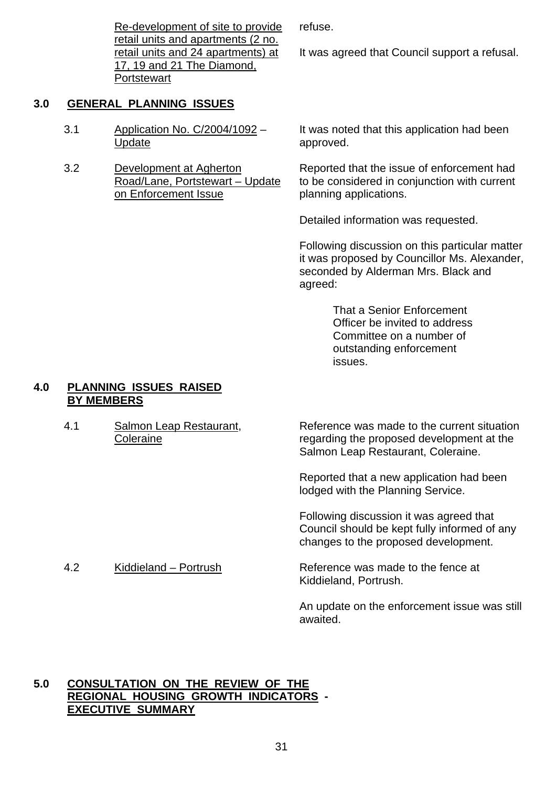Re-development of site to provide retail units and apartments (2 no. retail units and 24 apartments) at 17, 19 and 21 The Diamond, **Portstewart** 

## **3.0 GENERAL PLANNING ISSUES**

- 3.1 Application No. C/2004/1092 Update
- 3.2 Development at Agherton Road/Lane, Portstewart – Update on Enforcement Issue

It was noted that this application had been approved.

Reported that the issue of enforcement had to be considered in conjunction with current planning applications.

Detailed information was requested.

Following discussion on this particular matter it was proposed by Councillor Ms. Alexander, seconded by Alderman Mrs. Black and agreed:

> That a Senior Enforcement Officer be invited to address Committee on a number of outstanding enforcement issues.

#### **4.0 PLANNING ISSUES RAISED BY MEMBERS**

4.1 Salmon Leap Restaurant, **Coleraine** 

Reference was made to the current situation regarding the proposed development at the Salmon Leap Restaurant, Coleraine.

Reported that a new application had been lodged with the Planning Service.

Following discussion it was agreed that Council should be kept fully informed of any changes to the proposed development.

4.2 Kiddieland – Portrush Reference was made to the fence at Kiddieland, Portrush.

> An update on the enforcement issue was still awaited.

## **5.0 CONSULTATION ON THE REVIEW OF THE REGIONAL HOUSING GROWTH INDICATORS - EXECUTIVE SUMMARY**

refuse.

It was agreed that Council support a refusal.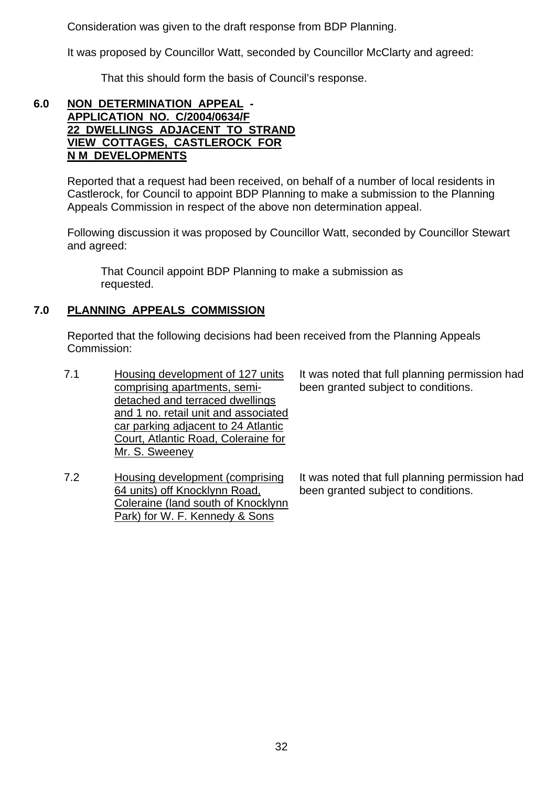Consideration was given to the draft response from BDP Planning.

It was proposed by Councillor Watt, seconded by Councillor McClarty and agreed:

That this should form the basis of Council's response.

## **6.0 NON DETERMINATION APPEAL - APPLICATION NO. C/2004/0634/F 22 DWELLINGS ADJACENT TO STRAND VIEW COTTAGES, CASTLEROCK FOR N M DEVELOPMENTS**

 Reported that a request had been received, on behalf of a number of local residents in Castlerock, for Council to appoint BDP Planning to make a submission to the Planning Appeals Commission in respect of the above non determination appeal.

 Following discussion it was proposed by Councillor Watt, seconded by Councillor Stewart and agreed:

 That Council appoint BDP Planning to make a submission as requested.

## **7.0 PLANNING APPEALS COMMISSION**

 Reported that the following decisions had been received from the Planning Appeals Commission:

- 7.1 Housing development of 127 units comprising apartments, semidetached and terraced dwellings and 1 no. retail unit and associated car parking adjacent to 24 Atlantic Court, Atlantic Road, Coleraine for Mr. S. Sweeney
- 7.2 Housing development (comprising 64 units) off Knocklynn Road, Coleraine (land south of Knocklynn Park) for W. F. Kennedy & Sons

It was noted that full planning permission had been granted subject to conditions.

It was noted that full planning permission had been granted subject to conditions.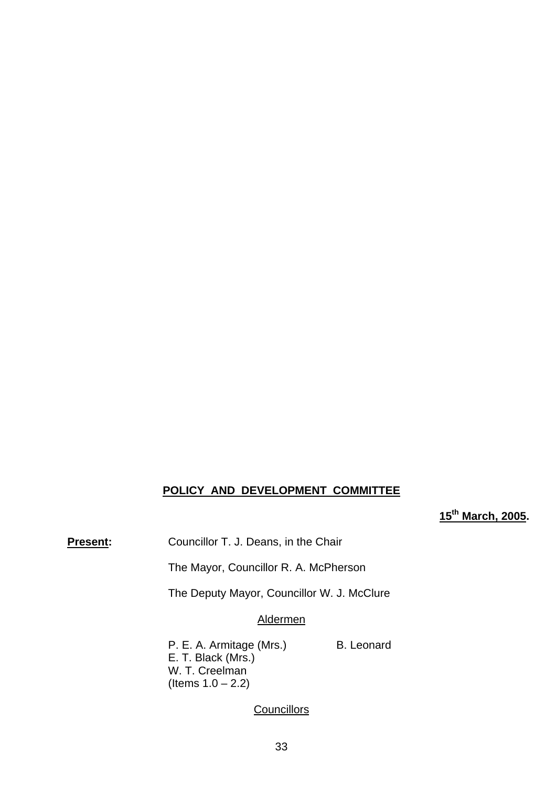# **POLICY AND DEVELOPMENT COMMITTEE**

## **15th March, 2005.**

**Present:** Councillor T. J. Deans, in the Chair

The Mayor, Councillor R. A. McPherson

The Deputy Mayor, Councillor W. J. McClure

#### Aldermen

P. E. A. Armitage (Mrs.) B. Leonard E. T. Black (Mrs.) W. T. Creelman (Items  $1.0 - 2.2$ )

#### **Councillors**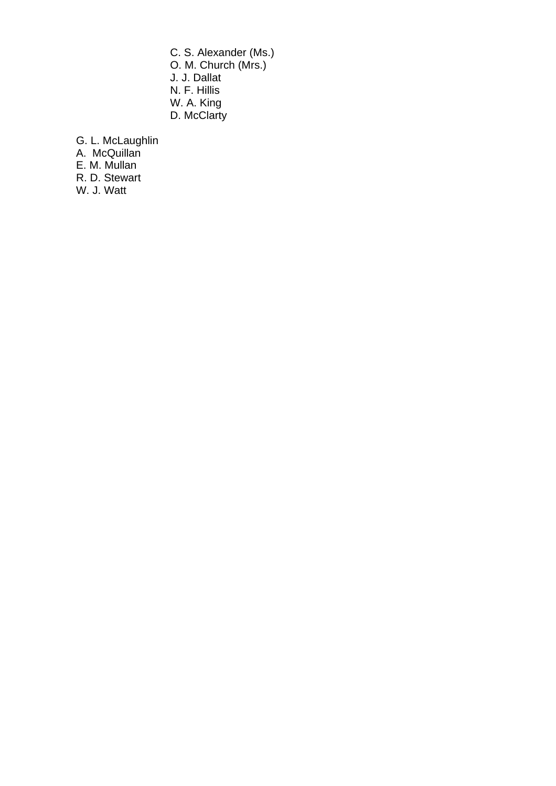C. S. Alexander (Ms.) O. M. Church (Mrs.) J. J. Dallat N. F. Hillis W. A. King D. McClarty

G. L. McLaughlin A. McQuillan

E. M. Mullan

R. D. Stewart

W. J. Watt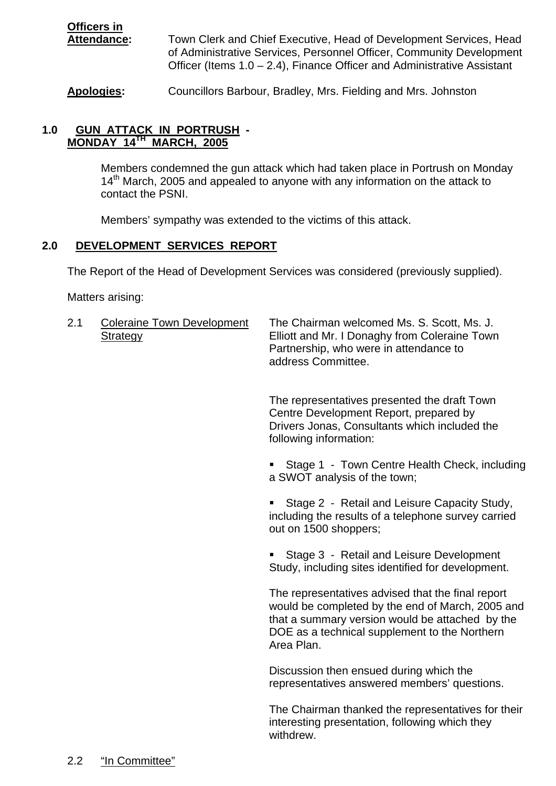**Officers in Attendance:** Town Clerk and Chief Executive, Head of Development Services, Head of Administrative Services, Personnel Officer, Community Development Officer (Items 1.0 – 2.4), Finance Officer and Administrative Assistant

**Apologies:** Councillors Barbour, Bradley, Mrs. Fielding and Mrs. Johnston

## **1.0 GUN ATTACK IN PORTRUSH - MONDAY 14TH MARCH, 2005**

 Members condemned the gun attack which had taken place in Portrush on Monday  $14<sup>th</sup>$  March, 2005 and appealed to anyone with any information on the attack to contact the PSNI.

Members' sympathy was extended to the victims of this attack.

#### **2.0 DEVELOPMENT SERVICES REPORT**

The Report of the Head of Development Services was considered (previously supplied).

Matters arising:

2.1 Coleraine Town Development The Chairman welcomed Ms. S. Scott, Ms. J. Strategy Elliott and Mr. I Donaghy from Coleraine Town Partnership, who were in attendance to address Committee.

> The representatives presented the draft Town Centre Development Report, prepared by Drivers Jonas, Consultants which included the following information:

 Stage 1 - Town Centre Health Check, including a SWOT analysis of the town;

 Stage 2 - Retail and Leisure Capacity Study, including the results of a telephone survey carried out on 1500 shoppers;

 Stage 3 - Retail and Leisure Development Study, including sites identified for development.

The representatives advised that the final report would be completed by the end of March, 2005 and that a summary version would be attached by the DOE as a technical supplement to the Northern Area Plan.

Discussion then ensued during which the representatives answered members' questions.

The Chairman thanked the representatives for their interesting presentation, following which they withdrew.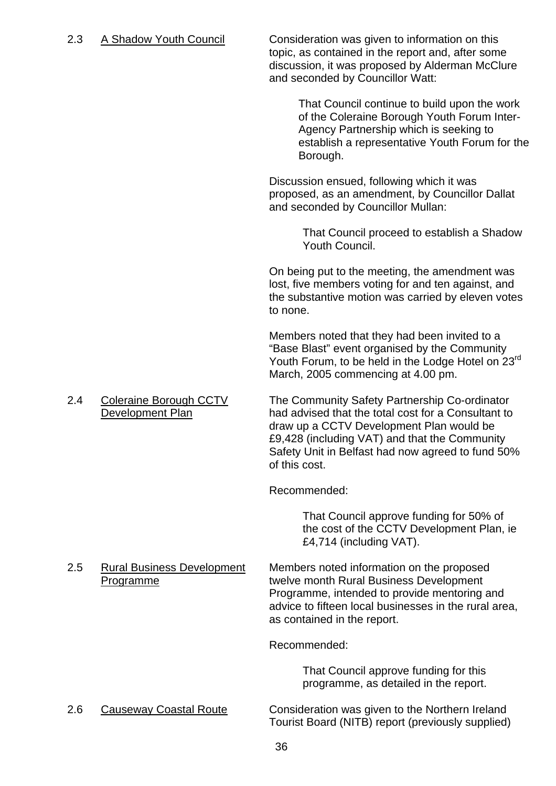2.3 A Shadow Youth Council Consideration was given to information on this topic, as contained in the report and, after some discussion, it was proposed by Alderman McClure and seconded by Councillor Watt:

> That Council continue to build upon the work of the Coleraine Borough Youth Forum Inter-Agency Partnership which is seeking to establish a representative Youth Forum for the Borough.

Discussion ensued, following which it was proposed, as an amendment, by Councillor Dallat and seconded by Councillor Mullan:

> That Council proceed to establish a Shadow Youth Council.

On being put to the meeting, the amendment was lost, five members voting for and ten against, and the substantive motion was carried by eleven votes to none.

Members noted that they had been invited to a "Base Blast" event organised by the Community Youth Forum, to be held in the Lodge Hotel on 23<sup>rd</sup> March, 2005 commencing at 4.00 pm.

2.4 Coleraine Borough CCTV The Community Safety Partnership Co-ordinator Development Plan had advised that the total cost for a Consultant to draw up a CCTV Development Plan would be £9,428 (including VAT) and that the Community Safety Unit in Belfast had now agreed to fund 50% of this cost.

Recommended:

 That Council approve funding for 50% of the cost of the CCTV Development Plan, ie £4,714 (including VAT).

2.5 Rural Business Development Members noted information on the proposed Programme twelve month Rural Business Development Programme, intended to provide mentoring and advice to fifteen local businesses in the rural area, as contained in the report.

Recommended:

 That Council approve funding for this programme, as detailed in the report.

#### 2.6 Causeway Coastal Route Consideration was given to the Northern Ireland Tourist Board (NITB) report (previously supplied)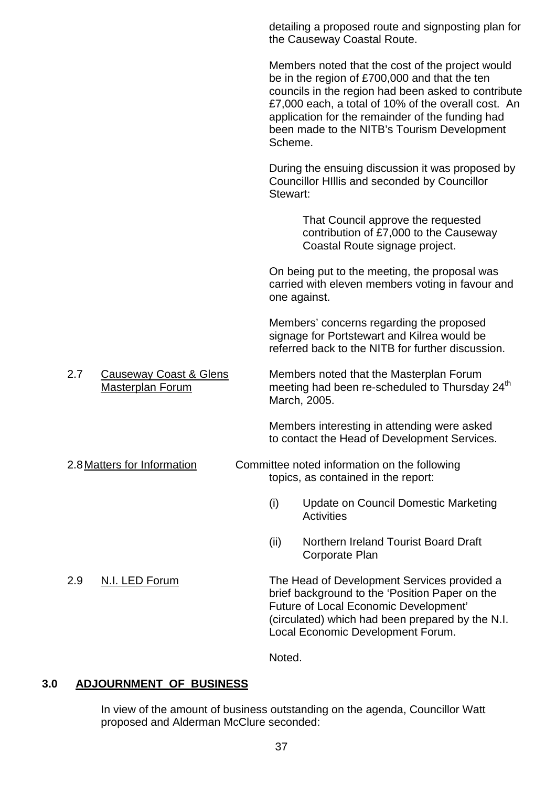detailing a proposed route and signposting plan for the Causeway Coastal Route. Members noted that the cost of the project would be in the region of £700,000 and that the ten councils in the region had been asked to contribute £7,000 each, a total of 10% of the overall cost. An application for the remainder of the funding had been made to the NITB's Tourism Development Scheme. During the ensuing discussion it was proposed by Councillor HIllis and seconded by Councillor Stewart: That Council approve the requested contribution of £7,000 to the Causeway Coastal Route signage project. On being put to the meeting, the proposal was carried with eleven members voting in favour and one against. Members' concerns regarding the proposed signage for Portstewart and Kilrea would be referred back to the NITB for further discussion. 2.7 Causeway Coast & Glens Members noted that the Masterplan Forum Masterplan Forum meeting had been re-scheduled to Thursday 24<sup>th</sup> March, 2005. Members interesting in attending were asked to contact the Head of Development Services. 2.8 Matters for Information Committee noted information on the following topics, as contained in the report: (i) Update on Council Domestic Marketing **Activities** (ii) Northern Ireland Tourist Board Draft Corporate Plan 2.9 N.I. LED Forum The Head of Development Services provided a brief background to the 'Position Paper on the Future of Local Economic Development' (circulated) which had been prepared by the N.I. Local Economic Development Forum.

Noted.

## **3.0 ADJOURNMENT OF BUSINESS**

In view of the amount of business outstanding on the agenda, Councillor Watt proposed and Alderman McClure seconded: